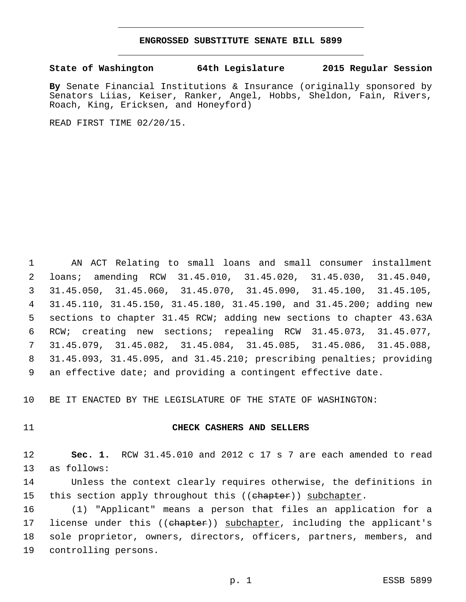## **ENGROSSED SUBSTITUTE SENATE BILL 5899**

## **State of Washington 64th Legislature 2015 Regular Session**

**By** Senate Financial Institutions & Insurance (originally sponsored by Senators Liias, Keiser, Ranker, Angel, Hobbs, Sheldon, Fain, Rivers, Roach, King, Ericksen, and Honeyford)

READ FIRST TIME 02/20/15.

 AN ACT Relating to small loans and small consumer installment loans; amending RCW 31.45.010, 31.45.020, 31.45.030, 31.45.040, 31.45.050, 31.45.060, 31.45.070, 31.45.090, 31.45.100, 31.45.105, 31.45.110, 31.45.150, 31.45.180, 31.45.190, and 31.45.200; adding new sections to chapter 31.45 RCW; adding new sections to chapter 43.63A RCW; creating new sections; repealing RCW 31.45.073, 31.45.077, 31.45.079, 31.45.082, 31.45.084, 31.45.085, 31.45.086, 31.45.088, 31.45.093, 31.45.095, and 31.45.210; prescribing penalties; providing an effective date; and providing a contingent effective date.

10 BE IT ENACTED BY THE LEGISLATURE OF THE STATE OF WASHINGTON:

## 11 **CHECK CASHERS AND SELLERS**

12 **Sec. 1.** RCW 31.45.010 and 2012 c 17 s 7 are each amended to read 13 as follows:

14 Unless the context clearly requires otherwise, the definitions in 15 this section apply throughout this ((chapter)) subchapter.

16 (1) "Applicant" means a person that files an application for a 17 license under this ((ehapter)) subchapter, including the applicant's 18 sole proprietor, owners, directors, officers, partners, members, and 19 controlling persons.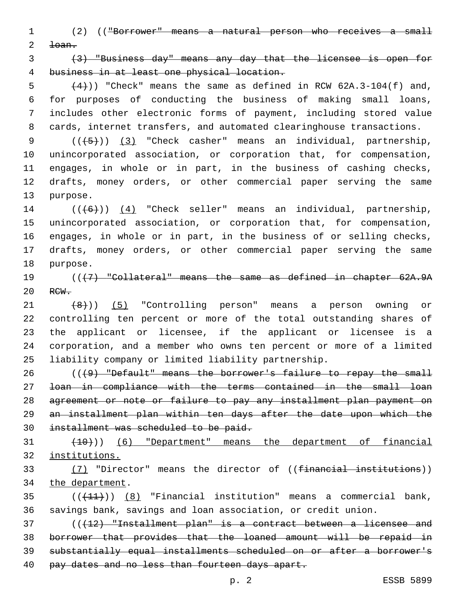(2) (("Borrower" means a natural person who receives a small  $2 \quad \text{toan.}$ 

 (3) "Business day" means any day that the licensee is open for business in at least one physical location.

 $(4)$ )) "Check" means the same as defined in RCW 62A.3-104(f) and, for purposes of conducting the business of making small loans, includes other electronic forms of payment, including stored value cards, internet transfers, and automated clearinghouse transactions.

 $((+5))$   $(3)$  "Check casher" means an individual, partnership, unincorporated association, or corporation that, for compensation, engages, in whole or in part, in the business of cashing checks, drafts, money orders, or other commercial paper serving the same 13 purpose.

14 (((6)) (4) "Check seller" means an individual, partnership, unincorporated association, or corporation that, for compensation, engages, in whole or in part, in the business of or selling checks, drafts, money orders, or other commercial paper serving the same 18 purpose.

 (((7) "Collateral" means the same as defined in chapter 62A.9A 20 RCW.

21 (8))) (5) "Controlling person" means a person owning or controlling ten percent or more of the total outstanding shares of the applicant or licensee, if the applicant or licensee is a corporation, and a member who owns ten percent or more of a limited liability company or limited liability partnership.

 (((9) "Default" means the borrower's failure to repay the small loan in compliance with the terms contained in the small loan agreement or note or failure to pay any installment plan payment on an installment plan within ten days after the date upon which the installment was scheduled to be paid.

 $(10)$   $(6)$  "Department" means the department of financial institutions.

33 (7) "Director" means the director of ((financial institutions)) 34 the department.

  $((+11))$   $(8)$  "Financial institution" means a commercial bank, savings bank, savings and loan association, or credit union.

 (((12) "Installment plan" is a contract between a licensee and borrower that provides that the loaned amount will be repaid in substantially equal installments scheduled on or after a borrower's 40 pay dates and no less than fourteen days apart.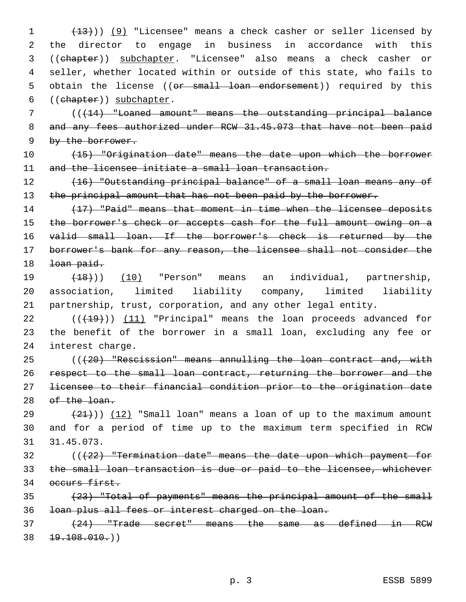(13))) (9) "Licensee" means a check casher or seller licensed by the director to engage in business in accordance with this ((chapter)) subchapter. "Licensee" also means a check casher or seller, whether located within or outside of this state, who fails to 5 obtain the license ((or small loan endorsement)) required by this 6 ((chapter)) subchapter.

 (((14) "Loaned amount" means the outstanding principal balance 8 and any fees authorized under RCW 31.45.073 that have not been paid by the borrower.

 (15) "Origination date" means the date upon which the borrower 11 and the licensee initiate a small loan transaction.

 (16) "Outstanding principal balance" of a small loan means any of 13 the principal amount that has not been paid by the borrower.

 (17) "Paid" means that moment in time when the licensee deposits 15 the borrower's check or accepts cash for the full amount owing on a valid small loan. If the borrower's check is returned by the borrower's bank for any reason, the licensee shall not consider the 18 <del>loan paid.</del>

 (18))) (10) "Person" means an individual, partnership, association, limited liability company, limited liability partnership, trust, corporation, and any other legal entity.

 ( $(419)$ ) (11) "Principal" means the loan proceeds advanced for the benefit of the borrower in a small loan, excluding any fee or 24 interest charge.

25 (((20) "Rescission" means annulling the loan contract and, with respect to the small loan contract, returning the borrower and the licensee to their financial condition prior to the origination date 28 of the loan.

29  $(21)$ ) (12) "Small loan" means a loan of up to the maximum amount and for a period of time up to the maximum term specified in RCW 31.45.073.

 (((22) "Termination date" means the date upon which payment for the small loan transaction is due or paid to the licensee, whichever 34 occurs first.

 (23) "Total of payments" means the principal amount of the small loan plus all fees or interest charged on the loan.

 (24) "Trade secret" means the same as defined in RCW  $38 + 19.108.010.)$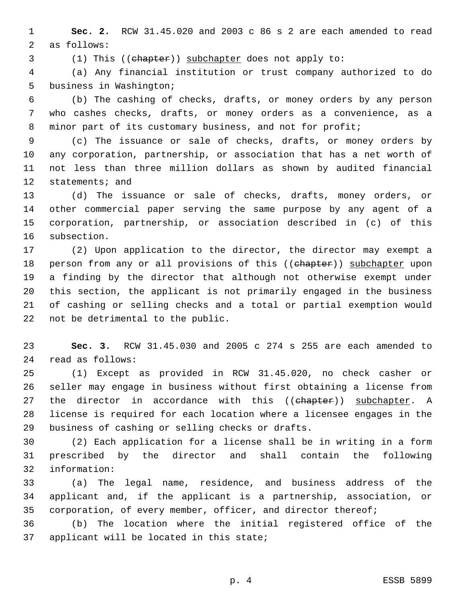**Sec. 2.** RCW 31.45.020 and 2003 c 86 s 2 are each amended to read 2 as follows:

(1) This ((chapter)) subchapter does not apply to:

 (a) Any financial institution or trust company authorized to do 5 business in Washington;

 (b) The cashing of checks, drafts, or money orders by any person who cashes checks, drafts, or money orders as a convenience, as a 8 minor part of its customary business, and not for profit;

 (c) The issuance or sale of checks, drafts, or money orders by any corporation, partnership, or association that has a net worth of not less than three million dollars as shown by audited financial 12 statements; and

 (d) The issuance or sale of checks, drafts, money orders, or other commercial paper serving the same purpose by any agent of a corporation, partnership, or association described in (c) of this 16 subsection.

 (2) Upon application to the director, the director may exempt a 18 person from any or all provisions of this ((chapter)) subchapter upon a finding by the director that although not otherwise exempt under this section, the applicant is not primarily engaged in the business of cashing or selling checks and a total or partial exemption would 22 not be detrimental to the public.

 **Sec. 3.** RCW 31.45.030 and 2005 c 274 s 255 are each amended to read as follows:24

 (1) Except as provided in RCW 31.45.020, no check casher or seller may engage in business without first obtaining a license from 27 the director in accordance with this ((chapter)) subchapter. A license is required for each location where a licensee engages in the 29 business of cashing or selling checks or drafts.

 (2) Each application for a license shall be in writing in a form prescribed by the director and shall contain the following information:32

 (a) The legal name, residence, and business address of the applicant and, if the applicant is a partnership, association, or 35 corporation, of every member, officer, and director thereof;

 (b) The location where the initial registered office of the 37 applicant will be located in this state;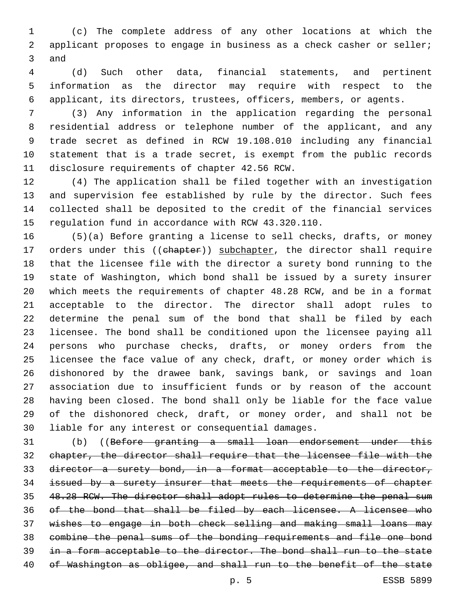(c) The complete address of any other locations at which the applicant proposes to engage in business as a check casher or seller; 3 and

 (d) Such other data, financial statements, and pertinent information as the director may require with respect to the applicant, its directors, trustees, officers, members, or agents.

 (3) Any information in the application regarding the personal residential address or telephone number of the applicant, and any trade secret as defined in RCW 19.108.010 including any financial statement that is a trade secret, is exempt from the public records 11 disclosure requirements of chapter 42.56 RCW.

 (4) The application shall be filed together with an investigation and supervision fee established by rule by the director. Such fees collected shall be deposited to the credit of the financial services regulation fund in accordance with RCW 43.320.110.

 (5)(a) Before granting a license to sell checks, drafts, or money 17 orders under this ((chapter)) subchapter, the director shall require that the licensee file with the director a surety bond running to the state of Washington, which bond shall be issued by a surety insurer which meets the requirements of chapter 48.28 RCW, and be in a format acceptable to the director. The director shall adopt rules to determine the penal sum of the bond that shall be filed by each licensee. The bond shall be conditioned upon the licensee paying all persons who purchase checks, drafts, or money orders from the licensee the face value of any check, draft, or money order which is dishonored by the drawee bank, savings bank, or savings and loan association due to insufficient funds or by reason of the account having been closed. The bond shall only be liable for the face value of the dishonored check, draft, or money order, and shall not be 30 liable for any interest or consequential damages.

31 (b) ((Before granting a small loan endorsement under this chapter, the director shall require that the licensee file with the director a surety bond, in a format acceptable to the director, issued by a surety insurer that meets the requirements of chapter 48.28 RCW. The director shall adopt rules to determine the penal sum of the bond that shall be filed by each licensee. A licensee who wishes to engage in both check selling and making small loans may combine the penal sums of the bonding requirements and file one bond 39 in a form acceptable to the director. The bond shall run to the state 40 of Washington as obligee, and shall run to the benefit of the state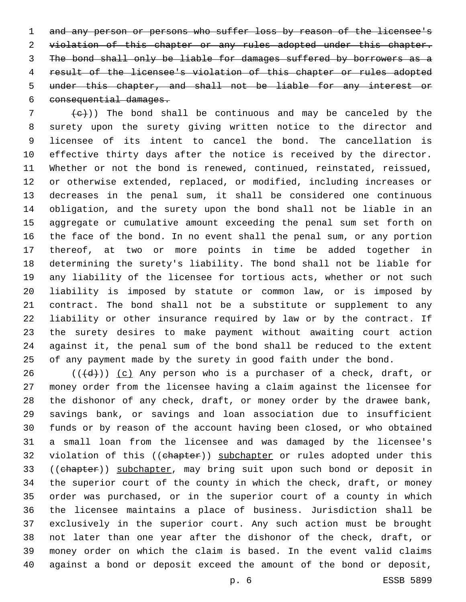and any person or persons who suffer loss by reason of the licensee's 2 violation of this chapter or any rules adopted under this chapter. The bond shall only be liable for damages suffered by borrowers as a result of the licensee's violation of this chapter or rules adopted under this chapter, and shall not be liable for any interest or 6 consequential damages.

 (e)) The bond shall be continuous and may be canceled by the surety upon the surety giving written notice to the director and licensee of its intent to cancel the bond. The cancellation is effective thirty days after the notice is received by the director. Whether or not the bond is renewed, continued, reinstated, reissued, or otherwise extended, replaced, or modified, including increases or decreases in the penal sum, it shall be considered one continuous obligation, and the surety upon the bond shall not be liable in an aggregate or cumulative amount exceeding the penal sum set forth on the face of the bond. In no event shall the penal sum, or any portion thereof, at two or more points in time be added together in determining the surety's liability. The bond shall not be liable for any liability of the licensee for tortious acts, whether or not such liability is imposed by statute or common law, or is imposed by contract. The bond shall not be a substitute or supplement to any liability or other insurance required by law or by the contract. If the surety desires to make payment without awaiting court action against it, the penal sum of the bond shall be reduced to the extent of any payment made by the surety in good faith under the bond.

 (( $\left(\frac{1}{d} \right)$ ) (c) Any person who is a purchaser of a check, draft, or money order from the licensee having a claim against the licensee for the dishonor of any check, draft, or money order by the drawee bank, savings bank, or savings and loan association due to insufficient funds or by reason of the account having been closed, or who obtained a small loan from the licensee and was damaged by the licensee's 32 violation of this ((chapter)) subchapter or rules adopted under this 33 ((chapter)) subchapter, may bring suit upon such bond or deposit in the superior court of the county in which the check, draft, or money order was purchased, or in the superior court of a county in which the licensee maintains a place of business. Jurisdiction shall be exclusively in the superior court. Any such action must be brought not later than one year after the dishonor of the check, draft, or money order on which the claim is based. In the event valid claims against a bond or deposit exceed the amount of the bond or deposit,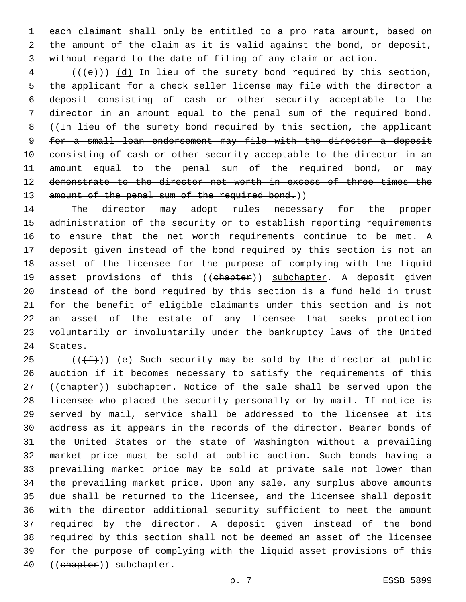each claimant shall only be entitled to a pro rata amount, based on the amount of the claim as it is valid against the bond, or deposit, without regard to the date of filing of any claim or action.

 (( $\left(\frac{1}{e}\right)$ ) (d) In lieu of the surety bond required by this section, the applicant for a check seller license may file with the director a deposit consisting of cash or other security acceptable to the director in an amount equal to the penal sum of the required bond. 8 ((In lieu of the surety bond required by this section, the applicant for a small loan endorsement may file with the director a deposit 10 consisting of cash or other security acceptable to the director in an 11 amount equal to the penal sum of the required bond, or may demonstrate to the director net worth in excess of three times the 13 amount of the penal sum of the required bond.))

 The director may adopt rules necessary for the proper administration of the security or to establish reporting requirements to ensure that the net worth requirements continue to be met. A deposit given instead of the bond required by this section is not an asset of the licensee for the purpose of complying with the liquid 19 asset provisions of this ((chapter)) subchapter. A deposit given instead of the bond required by this section is a fund held in trust for the benefit of eligible claimants under this section and is not an asset of the estate of any licensee that seeks protection voluntarily or involuntarily under the bankruptcy laws of the United 24 States.

 $((\text{+f-}))(e)$  Such security may be sold by the director at public auction if it becomes necessary to satisfy the requirements of this 27 ((chapter)) subchapter. Notice of the sale shall be served upon the licensee who placed the security personally or by mail. If notice is served by mail, service shall be addressed to the licensee at its address as it appears in the records of the director. Bearer bonds of the United States or the state of Washington without a prevailing market price must be sold at public auction. Such bonds having a prevailing market price may be sold at private sale not lower than the prevailing market price. Upon any sale, any surplus above amounts due shall be returned to the licensee, and the licensee shall deposit with the director additional security sufficient to meet the amount required by the director. A deposit given instead of the bond required by this section shall not be deemed an asset of the licensee for the purpose of complying with the liquid asset provisions of this 40 ((chapter)) subchapter.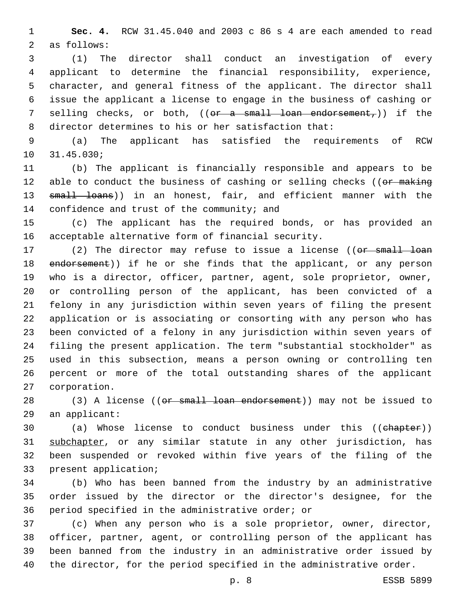**Sec. 4.** RCW 31.45.040 and 2003 c 86 s 4 are each amended to read 2 as follows:

 (1) The director shall conduct an investigation of every applicant to determine the financial responsibility, experience, character, and general fitness of the applicant. The director shall issue the applicant a license to engage in the business of cashing or 7 selling checks, or both, ((<del>or a small loan endorsement,</del>)) if the director determines to his or her satisfaction that:

 (a) The applicant has satisfied the requirements of RCW 31.45.030;10

 (b) The applicant is financially responsible and appears to be 12 able to conduct the business of cashing or selling checks ((or making 13 small loans)) in an honest, fair, and efficient manner with the 14 confidence and trust of the community; and

 (c) The applicant has the required bonds, or has provided an acceptable alternative form of financial security.

17 (2) The director may refuse to issue a license ((or small loan 18 endorsement)) if he or she finds that the applicant, or any person who is a director, officer, partner, agent, sole proprietor, owner, or controlling person of the applicant, has been convicted of a felony in any jurisdiction within seven years of filing the present application or is associating or consorting with any person who has been convicted of a felony in any jurisdiction within seven years of filing the present application. The term "substantial stockholder" as used in this subsection, means a person owning or controlling ten percent or more of the total outstanding shares of the applicant 27 corporation.

28 (3) A license ((or small loan endorsement)) may not be issued to 29 an applicant:

 (a) Whose license to conduct business under this ((chapter)) subchapter, or any similar statute in any other jurisdiction, has been suspended or revoked within five years of the filing of the 33 present application;

 (b) Who has been banned from the industry by an administrative order issued by the director or the director's designee, for the 36 period specified in the administrative order; or

 (c) When any person who is a sole proprietor, owner, director, officer, partner, agent, or controlling person of the applicant has been banned from the industry in an administrative order issued by the director, for the period specified in the administrative order.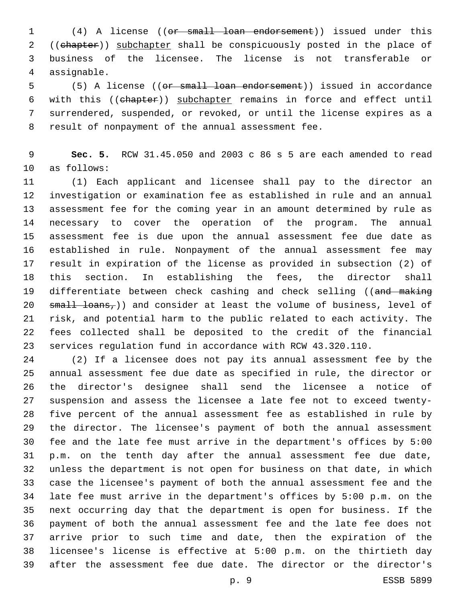(4) A license ((or small loan endorsement)) issued under this 2 ((chapter)) subchapter shall be conspicuously posted in the place of business of the licensee. The license is not transferable or assignable.4

 (5) A license ((or small loan endorsement)) issued in accordance with this ((chapter)) subchapter remains in force and effect until surrendered, suspended, or revoked, or until the license expires as a 8 result of nonpayment of the annual assessment fee.

 **Sec. 5.** RCW 31.45.050 and 2003 c 86 s 5 are each amended to read 10 as follows:

 (1) Each applicant and licensee shall pay to the director an investigation or examination fee as established in rule and an annual assessment fee for the coming year in an amount determined by rule as necessary to cover the operation of the program. The annual assessment fee is due upon the annual assessment fee due date as established in rule. Nonpayment of the annual assessment fee may result in expiration of the license as provided in subsection (2) of this section. In establishing the fees, the director shall 19 differentiate between check cashing and check selling ((and making 20 small loans,)) and consider at least the volume of business, level of risk, and potential harm to the public related to each activity. The fees collected shall be deposited to the credit of the financial services regulation fund in accordance with RCW 43.320.110.

 (2) If a licensee does not pay its annual assessment fee by the annual assessment fee due date as specified in rule, the director or the director's designee shall send the licensee a notice of suspension and assess the licensee a late fee not to exceed twenty- five percent of the annual assessment fee as established in rule by the director. The licensee's payment of both the annual assessment fee and the late fee must arrive in the department's offices by 5:00 p.m. on the tenth day after the annual assessment fee due date, unless the department is not open for business on that date, in which case the licensee's payment of both the annual assessment fee and the late fee must arrive in the department's offices by 5:00 p.m. on the next occurring day that the department is open for business. If the payment of both the annual assessment fee and the late fee does not arrive prior to such time and date, then the expiration of the licensee's license is effective at 5:00 p.m. on the thirtieth day after the assessment fee due date. The director or the director's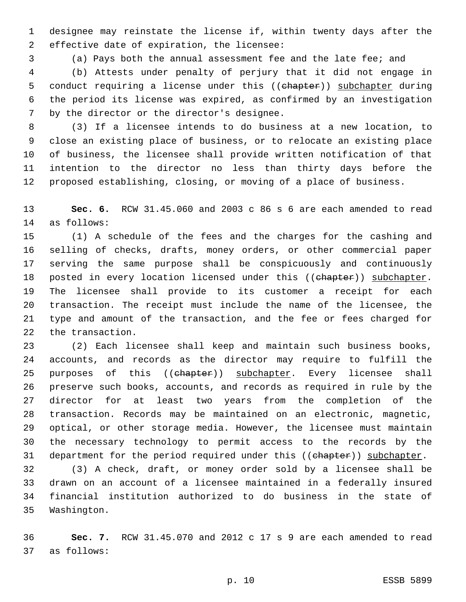designee may reinstate the license if, within twenty days after the 2 effective date of expiration, the licensee:

(a) Pays both the annual assessment fee and the late fee; and

 (b) Attests under penalty of perjury that it did not engage in 5 conduct requiring a license under this ((chapter)) subchapter during the period its license was expired, as confirmed by an investigation 7 by the director or the director's designee.

 (3) If a licensee intends to do business at a new location, to close an existing place of business, or to relocate an existing place of business, the licensee shall provide written notification of that intention to the director no less than thirty days before the proposed establishing, closing, or moving of a place of business.

 **Sec. 6.** RCW 31.45.060 and 2003 c 86 s 6 are each amended to read 14 as follows:

 (1) A schedule of the fees and the charges for the cashing and selling of checks, drafts, money orders, or other commercial paper serving the same purpose shall be conspicuously and continuously 18 posted in every location licensed under this ((ehapter)) subchapter. The licensee shall provide to its customer a receipt for each transaction. The receipt must include the name of the licensee, the type and amount of the transaction, and the fee or fees charged for 22 the transaction.

 (2) Each licensee shall keep and maintain such business books, accounts, and records as the director may require to fulfill the 25 purposes of this ((chapter)) subchapter. Every licensee shall preserve such books, accounts, and records as required in rule by the director for at least two years from the completion of the transaction. Records may be maintained on an electronic, magnetic, optical, or other storage media. However, the licensee must maintain the necessary technology to permit access to the records by the 31 department for the period required under this ((chapter)) subchapter.

 (3) A check, draft, or money order sold by a licensee shall be drawn on an account of a licensee maintained in a federally insured financial institution authorized to do business in the state of 35 Washington.

 **Sec. 7.** RCW 31.45.070 and 2012 c 17 s 9 are each amended to read 37 as follows: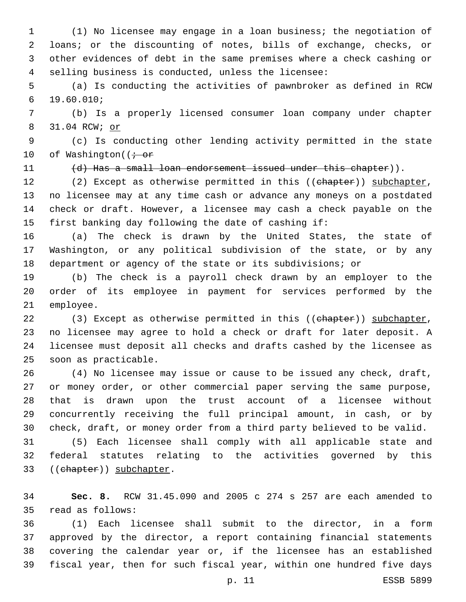(1) No licensee may engage in a loan business; the negotiation of loans; or the discounting of notes, bills of exchange, checks, or other evidences of debt in the same premises where a check cashing or selling business is conducted, unless the licensee:

 (a) Is conducting the activities of pawnbroker as defined in RCW 19.60.010;6

 (b) Is a properly licensed consumer loan company under chapter 31.04 RCW; or

 (c) Is conducting other lending activity permitted in the state 10 of Washington( $\overline{t}$  or

11 (d) Has a small loan endorsement issued under this chapter)).

12 (2) Except as otherwise permitted in this ((chapter)) subchapter, no licensee may at any time cash or advance any moneys on a postdated check or draft. However, a licensee may cash a check payable on the first banking day following the date of cashing if:

 (a) The check is drawn by the United States, the state of Washington, or any political subdivision of the state, or by any department or agency of the state or its subdivisions; or

 (b) The check is a payroll check drawn by an employer to the order of its employee in payment for services performed by the 21 employee.

22 (3) Except as otherwise permitted in this ((chapter)) subchapter, no licensee may agree to hold a check or draft for later deposit. A licensee must deposit all checks and drafts cashed by the licensee as 25 soon as practicable.

 (4) No licensee may issue or cause to be issued any check, draft, or money order, or other commercial paper serving the same purpose, that is drawn upon the trust account of a licensee without concurrently receiving the full principal amount, in cash, or by check, draft, or money order from a third party believed to be valid.

 (5) Each licensee shall comply with all applicable state and federal statutes relating to the activities governed by this 33 ((chapter)) subchapter.

 **Sec. 8.** RCW 31.45.090 and 2005 c 274 s 257 are each amended to 35 read as follows:

 (1) Each licensee shall submit to the director, in a form approved by the director, a report containing financial statements covering the calendar year or, if the licensee has an established fiscal year, then for such fiscal year, within one hundred five days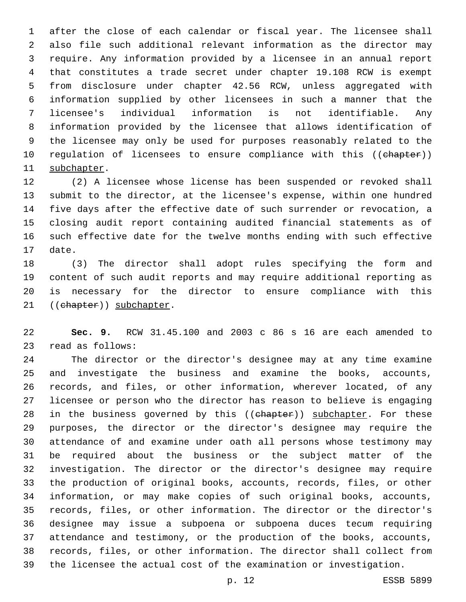after the close of each calendar or fiscal year. The licensee shall also file such additional relevant information as the director may require. Any information provided by a licensee in an annual report that constitutes a trade secret under chapter 19.108 RCW is exempt from disclosure under chapter 42.56 RCW, unless aggregated with information supplied by other licensees in such a manner that the licensee's individual information is not identifiable. Any information provided by the licensee that allows identification of the licensee may only be used for purposes reasonably related to the 10 regulation of licensees to ensure compliance with this ((chapter)) 11 subchapter.

 (2) A licensee whose license has been suspended or revoked shall submit to the director, at the licensee's expense, within one hundred five days after the effective date of such surrender or revocation, a closing audit report containing audited financial statements as of such effective date for the twelve months ending with such effective 17 date.

 (3) The director shall adopt rules specifying the form and content of such audit reports and may require additional reporting as is necessary for the director to ensure compliance with this 21 ((chapter)) subchapter.

 **Sec. 9.** RCW 31.45.100 and 2003 c 86 s 16 are each amended to 23 read as follows:

 The director or the director's designee may at any time examine and investigate the business and examine the books, accounts, records, and files, or other information, wherever located, of any licensee or person who the director has reason to believe is engaging 28 in the business governed by this ((chapter)) subchapter. For these purposes, the director or the director's designee may require the attendance of and examine under oath all persons whose testimony may be required about the business or the subject matter of the investigation. The director or the director's designee may require the production of original books, accounts, records, files, or other information, or may make copies of such original books, accounts, records, files, or other information. The director or the director's designee may issue a subpoena or subpoena duces tecum requiring attendance and testimony, or the production of the books, accounts, records, files, or other information. The director shall collect from the licensee the actual cost of the examination or investigation.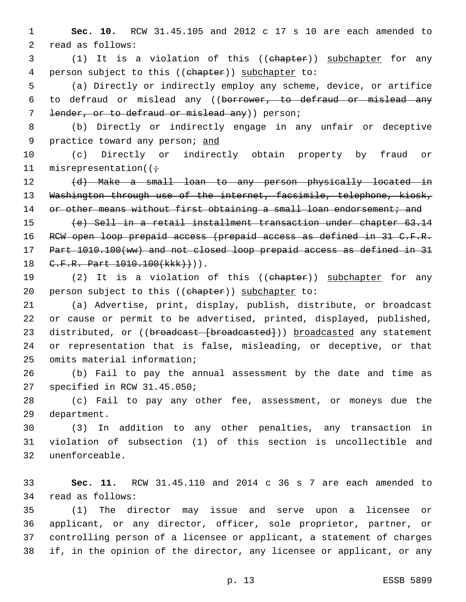1 **Sec. 10.** RCW 31.45.105 and 2012 c 17 s 10 are each amended to 2 read as follows:

3 (1) It is a violation of this ((chapter)) subchapter for any 4 person subject to this ((chapter)) subchapter to:

5 (a) Directly or indirectly employ any scheme, device, or artifice 6 to defraud or mislead any ((borrower, to defraud or mislead any 7 lender, or to defraud or mislead any) person;

8 (b) Directly or indirectly engage in any unfair or deceptive 9 practice toward any person; and

10 (c) Directly or indirectly obtain property by fraud or 11 misrepresentation( $(i \div)$ 

12 (d) Make a small loan to any person physically located in 13 Washington through use of the internet, facsimile, telephone, kiosk, 14 or other means without first obtaining a small loan endorsement; and

15 (e) Sell in a retail installment transaction under chapter 63.14 16 RCW open loop prepaid access (prepaid access as defined in 31 C.F.R. 17 Part 1010.100(ww) and not closed loop prepaid access as defined in 31 18 C.F.R. Part 1010.100(kkk) +)).

19 (2) It is a violation of this ((chapter)) subchapter for any 20 person subject to this  $((ehapter))$  subchapter to:

21 (a) Advertise, print, display, publish, distribute, or broadcast 22 or cause or permit to be advertised, printed, displayed, published, 23 distributed, or ((broadcast [broadcasted])) broadcasted any statement 24 or representation that is false, misleading, or deceptive, or that 25 omits material information;

26 (b) Fail to pay the annual assessment by the date and time as 27 specified in RCW 31.45.050;

28 (c) Fail to pay any other fee, assessment, or moneys due the 29 department.

30 (3) In addition to any other penalties, any transaction in 31 violation of subsection (1) of this section is uncollectible and unenforceable.32

33 **Sec. 11.** RCW 31.45.110 and 2014 c 36 s 7 are each amended to 34 read as follows:

 (1) The director may issue and serve upon a licensee or applicant, or any director, officer, sole proprietor, partner, or controlling person of a licensee or applicant, a statement of charges if, in the opinion of the director, any licensee or applicant, or any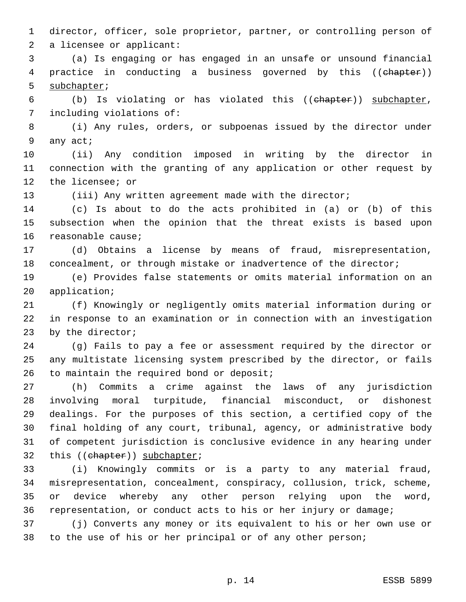director, officer, sole proprietor, partner, or controlling person of 2 a licensee or applicant:

 (a) Is engaging or has engaged in an unsafe or unsound financial practice in conducting a business governed by this ((chapter)) 5 subchapter;

6 (b) Is violating or has violated this ((ehapter)) subchapter, 7 including violations of:

 (i) Any rules, orders, or subpoenas issued by the director under 9 any act;

 (ii) Any condition imposed in writing by the director in connection with the granting of any application or other request by 12 the licensee; or

(iii) Any written agreement made with the director;

 (c) Is about to do the acts prohibited in (a) or (b) of this subsection when the opinion that the threat exists is based upon 16 reasonable cause;

 (d) Obtains a license by means of fraud, misrepresentation, concealment, or through mistake or inadvertence of the director;

 (e) Provides false statements or omits material information on an 20 application;

 (f) Knowingly or negligently omits material information during or in response to an examination or in connection with an investigation 23 by the director;

 (g) Fails to pay a fee or assessment required by the director or any multistate licensing system prescribed by the director, or fails 26 to maintain the required bond or deposit;

 (h) Commits a crime against the laws of any jurisdiction involving moral turpitude, financial misconduct, or dishonest dealings. For the purposes of this section, a certified copy of the final holding of any court, tribunal, agency, or administrative body of competent jurisdiction is conclusive evidence in any hearing under 32 this ((chapter)) subchapter;

 (i) Knowingly commits or is a party to any material fraud, misrepresentation, concealment, conspiracy, collusion, trick, scheme, or device whereby any other person relying upon the word, representation, or conduct acts to his or her injury or damage;

 (j) Converts any money or its equivalent to his or her own use or 38 to the use of his or her principal or of any other person;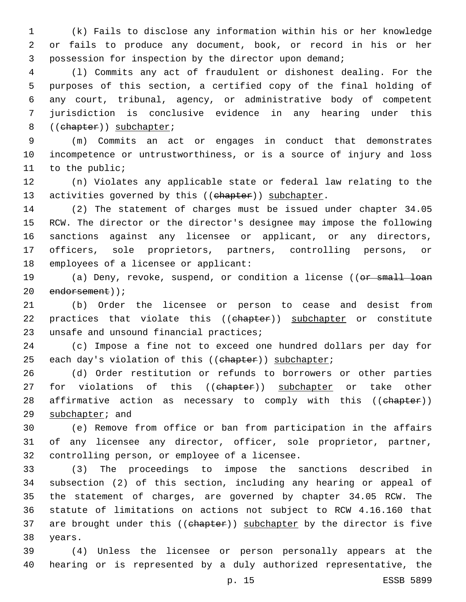(k) Fails to disclose any information within his or her knowledge or fails to produce any document, book, or record in his or her possession for inspection by the director upon demand;

 (l) Commits any act of fraudulent or dishonest dealing. For the purposes of this section, a certified copy of the final holding of any court, tribunal, agency, or administrative body of competent jurisdiction is conclusive evidence in any hearing under this 8 ((chapter)) subchapter;

 (m) Commits an act or engages in conduct that demonstrates incompetence or untrustworthiness, or is a source of injury and loss 11 to the public;

 (n) Violates any applicable state or federal law relating to the 13 activities governed by this ((chapter)) subchapter.

 (2) The statement of charges must be issued under chapter 34.05 RCW. The director or the director's designee may impose the following sanctions against any licensee or applicant, or any directors, officers, sole proprietors, partners, controlling persons, or 18 employees of a licensee or applicant:

19 (a) Deny, revoke, suspend, or condition a license ((or small loan 20 endorsement));

 (b) Order the licensee or person to cease and desist from 22 practices that violate this ((chapter)) subchapter or constitute 23 unsafe and unsound financial practices;

 (c) Impose a fine not to exceed one hundred dollars per day for 25 each day's violation of this ((ehapter)) subchapter;

 (d) Order restitution or refunds to borrowers or other parties 27 for violations of this ((chapter)) subchapter or take other 28 affirmative action as necessary to comply with this ((chapter)) 29 subchapter; and

 (e) Remove from office or ban from participation in the affairs of any licensee any director, officer, sole proprietor, partner, 32 controlling person, or employee of a licensee.

 (3) The proceedings to impose the sanctions described in subsection (2) of this section, including any hearing or appeal of the statement of charges, are governed by chapter 34.05 RCW. The statute of limitations on actions not subject to RCW 4.16.160 that 37 are brought under this ((chapter)) subchapter by the director is five 38 years.

 (4) Unless the licensee or person personally appears at the hearing or is represented by a duly authorized representative, the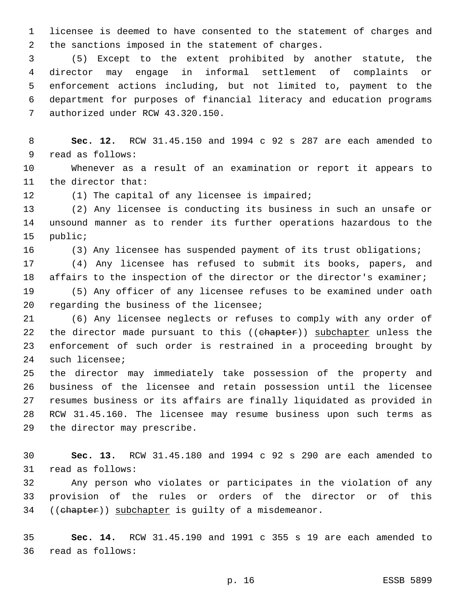1 licensee is deemed to have consented to the statement of charges and 2 the sanctions imposed in the statement of charges.

 (5) Except to the extent prohibited by another statute, the director may engage in informal settlement of complaints or enforcement actions including, but not limited to, payment to the department for purposes of financial literacy and education programs 7 authorized under RCW 43.320.150.

8 **Sec. 12.** RCW 31.45.150 and 1994 c 92 s 287 are each amended to 9 read as follows:

10 Whenever as a result of an examination or report it appears to 11 the director that:

12 (1) The capital of any licensee is impaired;

13 (2) Any licensee is conducting its business in such an unsafe or 14 unsound manner as to render its further operations hazardous to the 15 public;

16 (3) Any licensee has suspended payment of its trust obligations;

17 (4) Any licensee has refused to submit its books, papers, and 18 affairs to the inspection of the director or the director's examiner;

19 (5) Any officer of any licensee refuses to be examined under oath 20 regarding the business of the licensee;

21 (6) Any licensee neglects or refuses to comply with any order of 22 the director made pursuant to this ((chapter)) subchapter unless the 23 enforcement of such order is restrained in a proceeding brought by 24 such licensee;

 the director may immediately take possession of the property and business of the licensee and retain possession until the licensee resumes business or its affairs are finally liquidated as provided in RCW 31.45.160. The licensee may resume business upon such terms as 29 the director may prescribe.

30 **Sec. 13.** RCW 31.45.180 and 1994 c 92 s 290 are each amended to 31 read as follows:

32 Any person who violates or participates in the violation of any 33 provision of the rules or orders of the director or of this 34 ((chapter)) subchapter is guilty of a misdemeanor.

35 **Sec. 14.** RCW 31.45.190 and 1991 c 355 s 19 are each amended to 36 read as follows: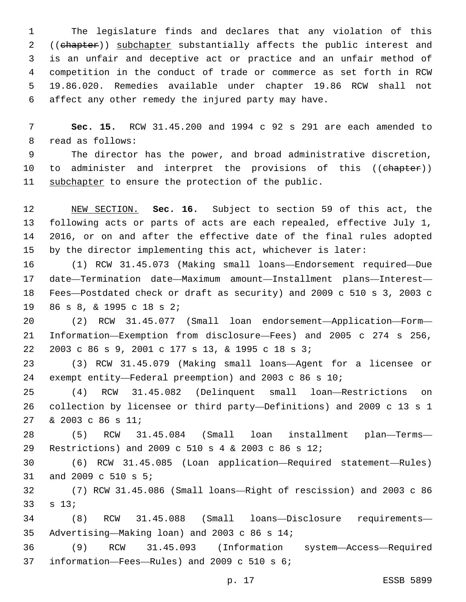The legislature finds and declares that any violation of this 2 ((ehapter)) subchapter substantially affects the public interest and is an unfair and deceptive act or practice and an unfair method of competition in the conduct of trade or commerce as set forth in RCW 19.86.020. Remedies available under chapter 19.86 RCW shall not affect any other remedy the injured party may have.

 **Sec. 15.** RCW 31.45.200 and 1994 c 92 s 291 are each amended to 8 read as follows:

 The director has the power, and broad administrative discretion, 10 to administer and interpret the provisions of this ((chapter)) 11 subchapter to ensure the protection of the public.

 NEW SECTION. **Sec. 16.** Subject to section 59 of this act, the following acts or parts of acts are each repealed, effective July 1, 2016, or on and after the effective date of the final rules adopted by the director implementing this act, whichever is later:

 (1) RCW 31.45.073 (Making small loans—Endorsement required—Due date—Termination date—Maximum amount—Installment plans—Interest— Fees—Postdated check or draft as security) and 2009 c 510 s 3, 2003 c 19 86 s 8, & 1995 c 18 s 2;

 (2) RCW 31.45.077 (Small loan endorsement—Application—Form— Information—Exemption from disclosure—Fees) and 2005 c 274 s 256, 22 2003 c 86 s 9, 2001 c 177 s 13, & 1995 c 18 s 3;

 (3) RCW 31.45.079 (Making small loans—Agent for a licensee or exempt entity—Federal preemption) and 2003 c 86 s 10;

 (4) RCW 31.45.082 (Delinquent small loan—Restrictions on collection by licensee or third party—Definitions) and 2009 c 13 s 1 27 & 2003 c 86 s 11;

 (5) RCW 31.45.084 (Small loan installment plan—Terms— Restrictions) and 2009 c 510 s 4 & 2003 c 86 s 12;

 (6) RCW 31.45.085 (Loan application—Required statement—Rules) 31 and 2009 c 510 s 5;

 (7) RCW 31.45.086 (Small loans—Right of rescission) and 2003 c 86  $s$  13;

 (8) RCW 31.45.088 (Small loans—Disclosure requirements— Advertising—Making loan) and 2003 c 86 s 14;35

 (9) RCW 31.45.093 (Information system—Access—Required 37 information—Fees—Rules) and 2009 c 510 s 6;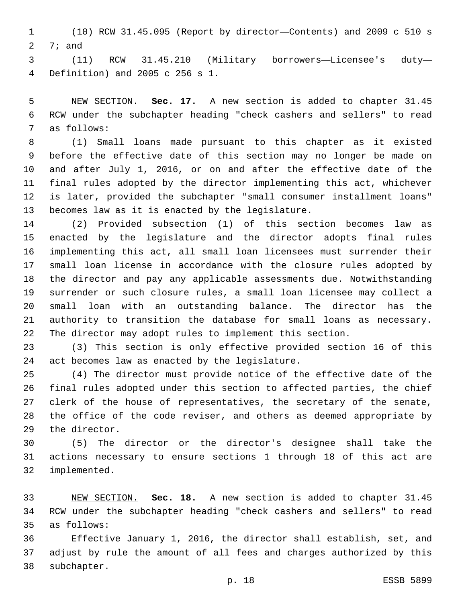(10) RCW 31.45.095 (Report by director—Contents) and 2009 c 510 s  $7;$  and

 (11) RCW 31.45.210 (Military borrowers—Licensee's duty— Definition) and 2005 c 256 s 1.4

 NEW SECTION. **Sec. 17.** A new section is added to chapter 31.45 RCW under the subchapter heading "check cashers and sellers" to read 7 as follows:

 (1) Small loans made pursuant to this chapter as it existed before the effective date of this section may no longer be made on and after July 1, 2016, or on and after the effective date of the final rules adopted by the director implementing this act, whichever is later, provided the subchapter "small consumer installment loans" 13 becomes law as it is enacted by the legislature.

 (2) Provided subsection (1) of this section becomes law as enacted by the legislature and the director adopts final rules implementing this act, all small loan licensees must surrender their small loan license in accordance with the closure rules adopted by the director and pay any applicable assessments due. Notwithstanding surrender or such closure rules, a small loan licensee may collect a small loan with an outstanding balance. The director has the authority to transition the database for small loans as necessary. The director may adopt rules to implement this section.

 (3) This section is only effective provided section 16 of this 24 act becomes law as enacted by the legislature.

 (4) The director must provide notice of the effective date of the final rules adopted under this section to affected parties, the chief clerk of the house of representatives, the secretary of the senate, the office of the code reviser, and others as deemed appropriate by 29 the director.

 (5) The director or the director's designee shall take the actions necessary to ensure sections 1 through 18 of this act are 32 implemented.

 NEW SECTION. **Sec. 18.** A new section is added to chapter 31.45 RCW under the subchapter heading "check cashers and sellers" to read as follows:35

 Effective January 1, 2016, the director shall establish, set, and adjust by rule the amount of all fees and charges authorized by this 38 subchapter.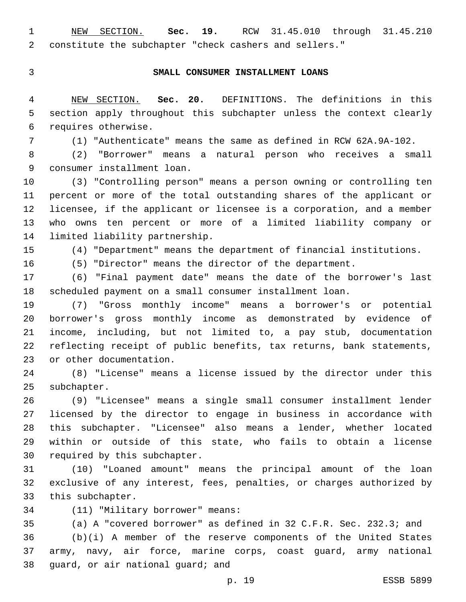NEW SECTION. **Sec. 19.** RCW 31.45.010 through 31.45.210 constitute the subchapter "check cashers and sellers."

## **SMALL CONSUMER INSTALLMENT LOANS**

 NEW SECTION. **Sec. 20.** DEFINITIONS. The definitions in this section apply throughout this subchapter unless the context clearly requires otherwise.

(1) "Authenticate" means the same as defined in RCW 62A.9A-102.

 (2) "Borrower" means a natural person who receives a small 9 consumer installment loan.

 (3) "Controlling person" means a person owning or controlling ten percent or more of the total outstanding shares of the applicant or licensee, if the applicant or licensee is a corporation, and a member who owns ten percent or more of a limited liability company or 14 limited liability partnership.

(4) "Department" means the department of financial institutions.

(5) "Director" means the director of the department.

 (6) "Final payment date" means the date of the borrower's last scheduled payment on a small consumer installment loan.

 (7) "Gross monthly income" means a borrower's or potential borrower's gross monthly income as demonstrated by evidence of income, including, but not limited to, a pay stub, documentation reflecting receipt of public benefits, tax returns, bank statements, 23 or other documentation.

 (8) "License" means a license issued by the director under this 25 subchapter.

 (9) "Licensee" means a single small consumer installment lender licensed by the director to engage in business in accordance with this subchapter. "Licensee" also means a lender, whether located within or outside of this state, who fails to obtain a license 30 required by this subchapter.

 (10) "Loaned amount" means the principal amount of the loan exclusive of any interest, fees, penalties, or charges authorized by 33 this subchapter.

34 (11) "Military borrower" means:

 (a) A "covered borrower" as defined in 32 C.F.R. Sec. 232.3; and (b)(i) A member of the reserve components of the United States army, navy, air force, marine corps, coast guard, army national 38 quard, or air national quard; and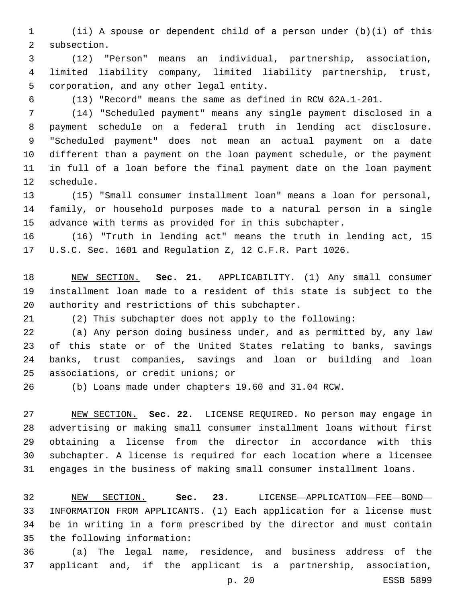(ii) A spouse or dependent child of a person under (b)(i) of this 2 subsection.

 (12) "Person" means an individual, partnership, association, limited liability company, limited liability partnership, trust, 5 corporation, and any other legal entity.

(13) "Record" means the same as defined in RCW 62A.1-201.

 (14) "Scheduled payment" means any single payment disclosed in a payment schedule on a federal truth in lending act disclosure. "Scheduled payment" does not mean an actual payment on a date different than a payment on the loan payment schedule, or the payment in full of a loan before the final payment date on the loan payment 12 schedule.

 (15) "Small consumer installment loan" means a loan for personal, family, or household purposes made to a natural person in a single advance with terms as provided for in this subchapter.

 (16) "Truth in lending act" means the truth in lending act, 15 U.S.C. Sec. 1601 and Regulation Z, 12 C.F.R. Part 1026.

 NEW SECTION. **Sec. 21.** APPLICABILITY. (1) Any small consumer installment loan made to a resident of this state is subject to the authority and restrictions of this subchapter.

(2) This subchapter does not apply to the following:

 (a) Any person doing business under, and as permitted by, any law of this state or of the United States relating to banks, savings banks, trust companies, savings and loan or building and loan 25 associations, or credit unions; or

(b) Loans made under chapters 19.60 and 31.04 RCW.

 NEW SECTION. **Sec. 22.** LICENSE REQUIRED. No person may engage in advertising or making small consumer installment loans without first obtaining a license from the director in accordance with this subchapter. A license is required for each location where a licensee engages in the business of making small consumer installment loans.

 NEW SECTION. **Sec. 23.** LICENSE—APPLICATION—FEE—BOND— INFORMATION FROM APPLICANTS. (1) Each application for a license must be in writing in a form prescribed by the director and must contain the following information:

 (a) The legal name, residence, and business address of the applicant and, if the applicant is a partnership, association,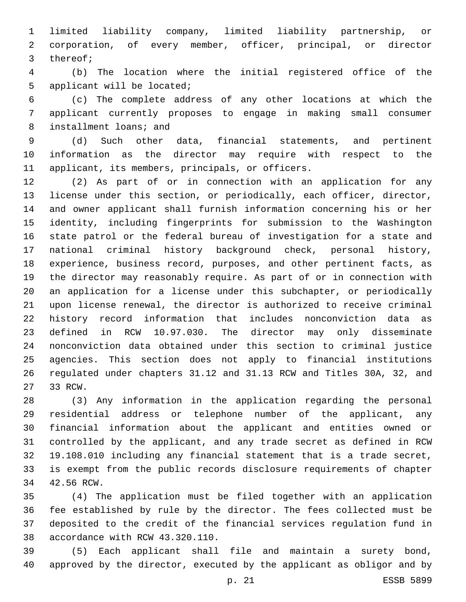limited liability company, limited liability partnership, or corporation, of every member, officer, principal, or director 3 thereof;

 (b) The location where the initial registered office of the 5 applicant will be located;

 (c) The complete address of any other locations at which the applicant currently proposes to engage in making small consumer 8 installment loans; and

 (d) Such other data, financial statements, and pertinent information as the director may require with respect to the 11 applicant, its members, principals, or officers.

 (2) As part of or in connection with an application for any license under this section, or periodically, each officer, director, and owner applicant shall furnish information concerning his or her identity, including fingerprints for submission to the Washington state patrol or the federal bureau of investigation for a state and national criminal history background check, personal history, experience, business record, purposes, and other pertinent facts, as the director may reasonably require. As part of or in connection with an application for a license under this subchapter, or periodically upon license renewal, the director is authorized to receive criminal history record information that includes nonconviction data as defined in RCW 10.97.030. The director may only disseminate nonconviction data obtained under this section to criminal justice agencies. This section does not apply to financial institutions regulated under chapters 31.12 and 31.13 RCW and Titles 30A, 32, and 27 33 RCW.

 (3) Any information in the application regarding the personal residential address or telephone number of the applicant, any financial information about the applicant and entities owned or controlled by the applicant, and any trade secret as defined in RCW 19.108.010 including any financial statement that is a trade secret, is exempt from the public records disclosure requirements of chapter 34 42.56 RCW.

 (4) The application must be filed together with an application fee established by rule by the director. The fees collected must be deposited to the credit of the financial services regulation fund in 38 accordance with RCW 43.320.110.

 (5) Each applicant shall file and maintain a surety bond, approved by the director, executed by the applicant as obligor and by

p. 21 ESSB 5899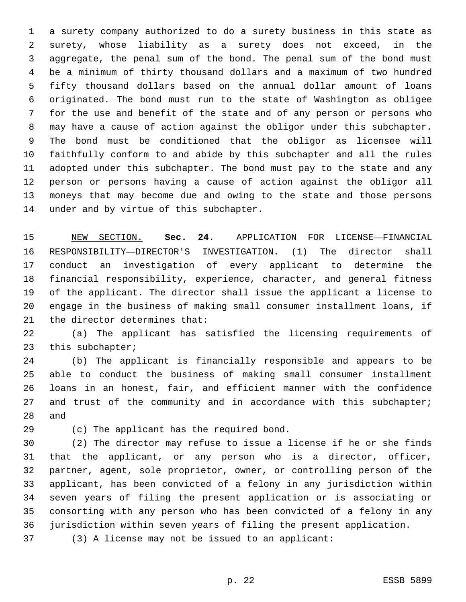a surety company authorized to do a surety business in this state as surety, whose liability as a surety does not exceed, in the aggregate, the penal sum of the bond. The penal sum of the bond must be a minimum of thirty thousand dollars and a maximum of two hundred fifty thousand dollars based on the annual dollar amount of loans originated. The bond must run to the state of Washington as obligee for the use and benefit of the state and of any person or persons who may have a cause of action against the obligor under this subchapter. The bond must be conditioned that the obligor as licensee will faithfully conform to and abide by this subchapter and all the rules adopted under this subchapter. The bond must pay to the state and any person or persons having a cause of action against the obligor all moneys that may become due and owing to the state and those persons 14 under and by virtue of this subchapter.

 NEW SECTION. **Sec. 24.** APPLICATION FOR LICENSE—FINANCIAL RESPONSIBILITY—DIRECTOR'S INVESTIGATION. (1) The director shall conduct an investigation of every applicant to determine the financial responsibility, experience, character, and general fitness of the applicant. The director shall issue the applicant a license to engage in the business of making small consumer installment loans, if the director determines that:

 (a) The applicant has satisfied the licensing requirements of 23 this subchapter;

 (b) The applicant is financially responsible and appears to be able to conduct the business of making small consumer installment loans in an honest, fair, and efficient manner with the confidence 27 and trust of the community and in accordance with this subchapter; and

29 (c) The applicant has the required bond.

 (2) The director may refuse to issue a license if he or she finds that the applicant, or any person who is a director, officer, partner, agent, sole proprietor, owner, or controlling person of the applicant, has been convicted of a felony in any jurisdiction within seven years of filing the present application or is associating or consorting with any person who has been convicted of a felony in any jurisdiction within seven years of filing the present application.

(3) A license may not be issued to an applicant: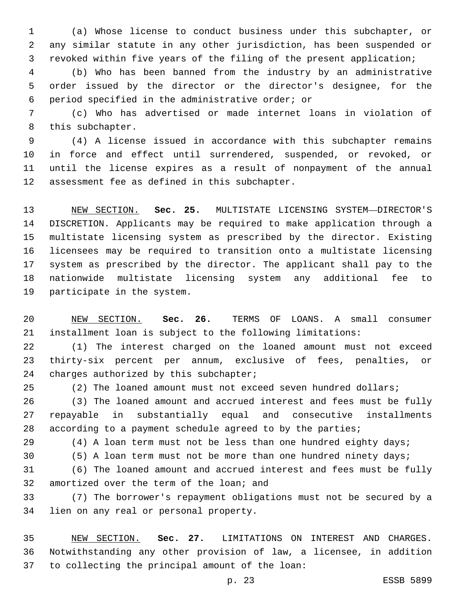(a) Whose license to conduct business under this subchapter, or any similar statute in any other jurisdiction, has been suspended or revoked within five years of the filing of the present application;

 (b) Who has been banned from the industry by an administrative order issued by the director or the director's designee, for the 6 period specified in the administrative order; or

 (c) Who has advertised or made internet loans in violation of 8 this subchapter.

 (4) A license issued in accordance with this subchapter remains in force and effect until surrendered, suspended, or revoked, or until the license expires as a result of nonpayment of the annual 12 assessment fee as defined in this subchapter.

 NEW SECTION. **Sec. 25.** MULTISTATE LICENSING SYSTEM—DIRECTOR'S DISCRETION. Applicants may be required to make application through a multistate licensing system as prescribed by the director. Existing licensees may be required to transition onto a multistate licensing system as prescribed by the director. The applicant shall pay to the nationwide multistate licensing system any additional fee to 19 participate in the system.

 NEW SECTION. **Sec. 26.** TERMS OF LOANS. A small consumer installment loan is subject to the following limitations:

 (1) The interest charged on the loaned amount must not exceed thirty-six percent per annum, exclusive of fees, penalties, or 24 charges authorized by this subchapter;

(2) The loaned amount must not exceed seven hundred dollars;

 (3) The loaned amount and accrued interest and fees must be fully repayable in substantially equal and consecutive installments according to a payment schedule agreed to by the parties;

(4) A loan term must not be less than one hundred eighty days;

(5) A loan term must not be more than one hundred ninety days;

 (6) The loaned amount and accrued interest and fees must be fully 32 amortized over the term of the loan; and

 (7) The borrower's repayment obligations must not be secured by a 34 lien on any real or personal property.

 NEW SECTION. **Sec. 27.** LIMITATIONS ON INTEREST AND CHARGES. Notwithstanding any other provision of law, a licensee, in addition to collecting the principal amount of the loan: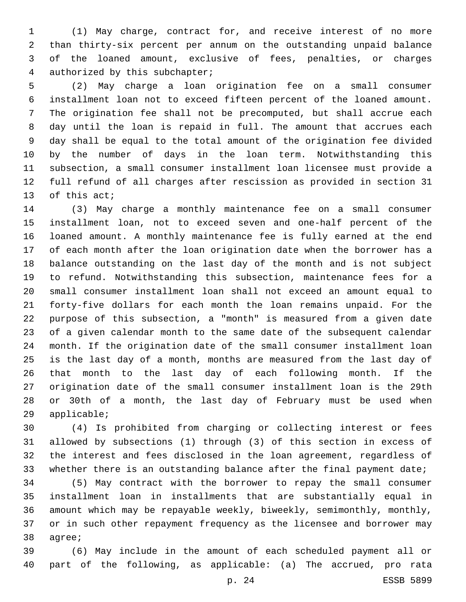(1) May charge, contract for, and receive interest of no more than thirty-six percent per annum on the outstanding unpaid balance of the loaned amount, exclusive of fees, penalties, or charges 4 authorized by this subchapter;

 (2) May charge a loan origination fee on a small consumer installment loan not to exceed fifteen percent of the loaned amount. The origination fee shall not be precomputed, but shall accrue each day until the loan is repaid in full. The amount that accrues each day shall be equal to the total amount of the origination fee divided by the number of days in the loan term. Notwithstanding this subsection, a small consumer installment loan licensee must provide a full refund of all charges after rescission as provided in section 31 13 of this act;

 (3) May charge a monthly maintenance fee on a small consumer installment loan, not to exceed seven and one-half percent of the loaned amount. A monthly maintenance fee is fully earned at the end of each month after the loan origination date when the borrower has a balance outstanding on the last day of the month and is not subject to refund. Notwithstanding this subsection, maintenance fees for a small consumer installment loan shall not exceed an amount equal to forty-five dollars for each month the loan remains unpaid. For the purpose of this subsection, a "month" is measured from a given date of a given calendar month to the same date of the subsequent calendar month. If the origination date of the small consumer installment loan is the last day of a month, months are measured from the last day of that month to the last day of each following month. If the origination date of the small consumer installment loan is the 29th or 30th of a month, the last day of February must be used when 29 applicable;

 (4) Is prohibited from charging or collecting interest or fees allowed by subsections (1) through (3) of this section in excess of the interest and fees disclosed in the loan agreement, regardless of whether there is an outstanding balance after the final payment date;

 (5) May contract with the borrower to repay the small consumer installment loan in installments that are substantially equal in amount which may be repayable weekly, biweekly, semimonthly, monthly, or in such other repayment frequency as the licensee and borrower may 38 agree;

 (6) May include in the amount of each scheduled payment all or part of the following, as applicable: (a) The accrued, pro rata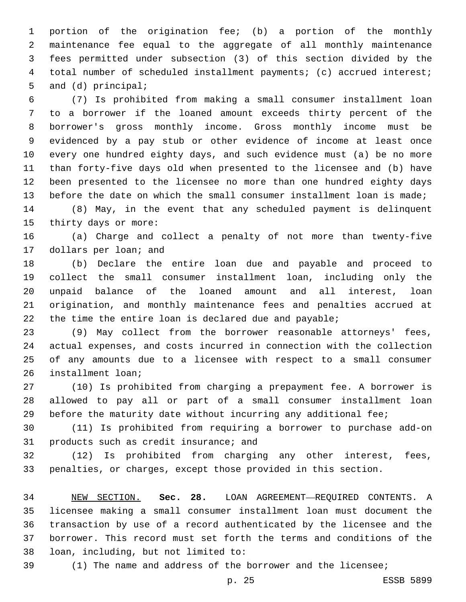portion of the origination fee; (b) a portion of the monthly maintenance fee equal to the aggregate of all monthly maintenance fees permitted under subsection (3) of this section divided by the total number of scheduled installment payments; (c) accrued interest; 5 and (d) principal;

 (7) Is prohibited from making a small consumer installment loan to a borrower if the loaned amount exceeds thirty percent of the borrower's gross monthly income. Gross monthly income must be evidenced by a pay stub or other evidence of income at least once every one hundred eighty days, and such evidence must (a) be no more than forty-five days old when presented to the licensee and (b) have been presented to the licensee no more than one hundred eighty days before the date on which the small consumer installment loan is made;

 (8) May, in the event that any scheduled payment is delinquent 15 thirty days or more:

 (a) Charge and collect a penalty of not more than twenty-five 17 dollars per loan; and

 (b) Declare the entire loan due and payable and proceed to collect the small consumer installment loan, including only the unpaid balance of the loaned amount and all interest, loan origination, and monthly maintenance fees and penalties accrued at 22 the time the entire loan is declared due and payable;

 (9) May collect from the borrower reasonable attorneys' fees, actual expenses, and costs incurred in connection with the collection of any amounts due to a licensee with respect to a small consumer 26 installment loan;

 (10) Is prohibited from charging a prepayment fee. A borrower is allowed to pay all or part of a small consumer installment loan before the maturity date without incurring any additional fee;

 (11) Is prohibited from requiring a borrower to purchase add-on 31 products such as credit insurance; and

 (12) Is prohibited from charging any other interest, fees, penalties, or charges, except those provided in this section.

 NEW SECTION. **Sec. 28.** LOAN AGREEMENT—REQUIRED CONTENTS. A licensee making a small consumer installment loan must document the transaction by use of a record authenticated by the licensee and the borrower. This record must set forth the terms and conditions of the loan, including, but not limited to:

(1) The name and address of the borrower and the licensee;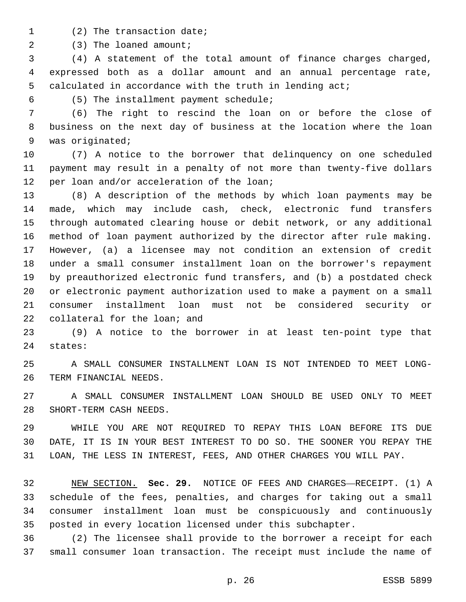1 (2) The transaction date;

2 (3) The loaned amount;

 (4) A statement of the total amount of finance charges charged, expressed both as a dollar amount and an annual percentage rate, calculated in accordance with the truth in lending act;

(5) The installment payment schedule;6

 (6) The right to rescind the loan on or before the close of business on the next day of business at the location where the loan 9 was originated;

 (7) A notice to the borrower that delinquency on one scheduled payment may result in a penalty of not more than twenty-five dollars 12 per loan and/or acceleration of the loan;

 (8) A description of the methods by which loan payments may be made, which may include cash, check, electronic fund transfers through automated clearing house or debit network, or any additional method of loan payment authorized by the director after rule making. However, (a) a licensee may not condition an extension of credit under a small consumer installment loan on the borrower's repayment by preauthorized electronic fund transfers, and (b) a postdated check or electronic payment authorization used to make a payment on a small consumer installment loan must not be considered security or 22 collateral for the loan; and

 (9) A notice to the borrower in at least ten-point type that 24 states:

 A SMALL CONSUMER INSTALLMENT LOAN IS NOT INTENDED TO MEET LONG-26 TERM FINANCIAL NEEDS.

 A SMALL CONSUMER INSTALLMENT LOAN SHOULD BE USED ONLY TO MEET 28 SHORT-TERM CASH NEEDS.

 WHILE YOU ARE NOT REQUIRED TO REPAY THIS LOAN BEFORE ITS DUE DATE, IT IS IN YOUR BEST INTEREST TO DO SO. THE SOONER YOU REPAY THE LOAN, THE LESS IN INTEREST, FEES, AND OTHER CHARGES YOU WILL PAY.

 NEW SECTION. **Sec. 29.** NOTICE OF FEES AND CHARGES—RECEIPT. (1) A schedule of the fees, penalties, and charges for taking out a small consumer installment loan must be conspicuously and continuously posted in every location licensed under this subchapter.

 (2) The licensee shall provide to the borrower a receipt for each small consumer loan transaction. The receipt must include the name of

p. 26 ESSB 5899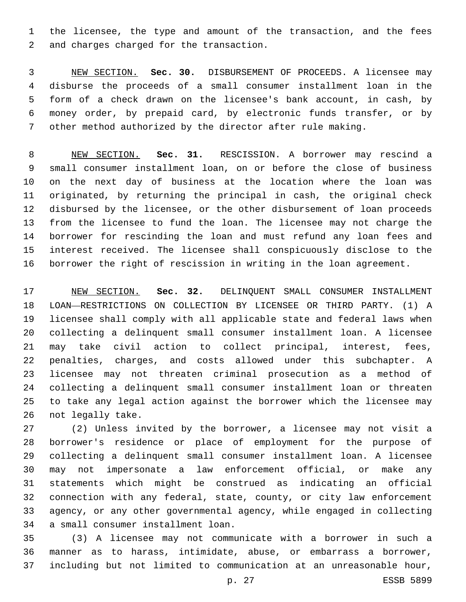the licensee, the type and amount of the transaction, and the fees 2 and charges charged for the transaction.

 NEW SECTION. **Sec. 30.** DISBURSEMENT OF PROCEEDS. A licensee may disburse the proceeds of a small consumer installment loan in the form of a check drawn on the licensee's bank account, in cash, by money order, by prepaid card, by electronic funds transfer, or by other method authorized by the director after rule making.

 NEW SECTION. **Sec. 31.** RESCISSION. A borrower may rescind a small consumer installment loan, on or before the close of business on the next day of business at the location where the loan was originated, by returning the principal in cash, the original check disbursed by the licensee, or the other disbursement of loan proceeds from the licensee to fund the loan. The licensee may not charge the borrower for rescinding the loan and must refund any loan fees and interest received. The licensee shall conspicuously disclose to the borrower the right of rescission in writing in the loan agreement.

 NEW SECTION. **Sec. 32.** DELINQUENT SMALL CONSUMER INSTALLMENT LOAN—RESTRICTIONS ON COLLECTION BY LICENSEE OR THIRD PARTY. (1) A licensee shall comply with all applicable state and federal laws when collecting a delinquent small consumer installment loan. A licensee may take civil action to collect principal, interest, fees, penalties, charges, and costs allowed under this subchapter. A licensee may not threaten criminal prosecution as a method of collecting a delinquent small consumer installment loan or threaten to take any legal action against the borrower which the licensee may not legally take.

 (2) Unless invited by the borrower, a licensee may not visit a borrower's residence or place of employment for the purpose of collecting a delinquent small consumer installment loan. A licensee may not impersonate a law enforcement official, or make any statements which might be construed as indicating an official connection with any federal, state, county, or city law enforcement agency, or any other governmental agency, while engaged in collecting 34 a small consumer installment loan.

 (3) A licensee may not communicate with a borrower in such a manner as to harass, intimidate, abuse, or embarrass a borrower, including but not limited to communication at an unreasonable hour,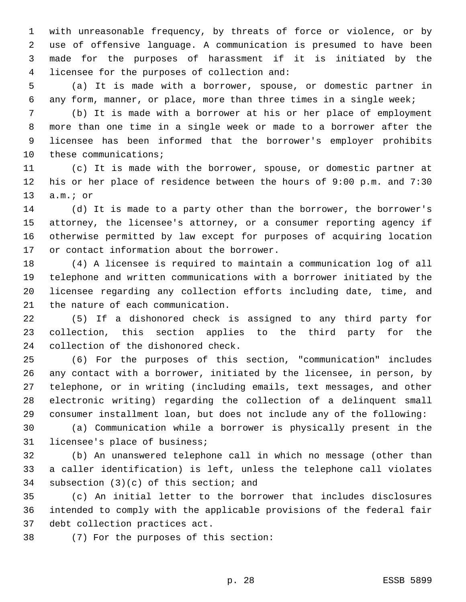with unreasonable frequency, by threats of force or violence, or by use of offensive language. A communication is presumed to have been made for the purposes of harassment if it is initiated by the 4 licensee for the purposes of collection and:

 (a) It is made with a borrower, spouse, or domestic partner in any form, manner, or place, more than three times in a single week;

 (b) It is made with a borrower at his or her place of employment more than one time in a single week or made to a borrower after the licensee has been informed that the borrower's employer prohibits 10 these communications;

 (c) It is made with the borrower, spouse, or domestic partner at his or her place of residence between the hours of 9:00 p.m. and 7:30 13 a.m.; or

 (d) It is made to a party other than the borrower, the borrower's attorney, the licensee's attorney, or a consumer reporting agency if otherwise permitted by law except for purposes of acquiring location 17 or contact information about the borrower.

 (4) A licensee is required to maintain a communication log of all telephone and written communications with a borrower initiated by the licensee regarding any collection efforts including date, time, and 21 the nature of each communication.

 (5) If a dishonored check is assigned to any third party for collection, this section applies to the third party for the 24 collection of the dishonored check.

 (6) For the purposes of this section, "communication" includes any contact with a borrower, initiated by the licensee, in person, by telephone, or in writing (including emails, text messages, and other electronic writing) regarding the collection of a delinquent small consumer installment loan, but does not include any of the following:

 (a) Communication while a borrower is physically present in the 31 licensee's place of business;

 (b) An unanswered telephone call in which no message (other than a caller identification) is left, unless the telephone call violates 34 subsection  $(3)(c)$  of this section; and

 (c) An initial letter to the borrower that includes disclosures intended to comply with the applicable provisions of the federal fair 37 debt collection practices act.

38 (7) For the purposes of this section: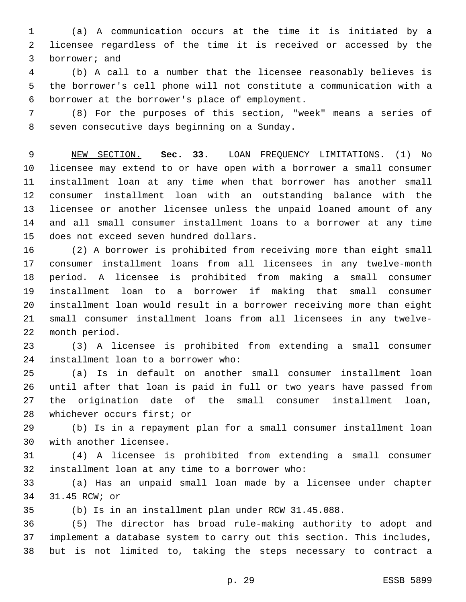(a) A communication occurs at the time it is initiated by a licensee regardless of the time it is received or accessed by the 3 borrower; and

 (b) A call to a number that the licensee reasonably believes is the borrower's cell phone will not constitute a communication with a 6 borrower at the borrower's place of employment.

 (8) For the purposes of this section, "week" means a series of 8 seven consecutive days beginning on a Sunday.

 NEW SECTION. **Sec. 33.** LOAN FREQUENCY LIMITATIONS. (1) No licensee may extend to or have open with a borrower a small consumer installment loan at any time when that borrower has another small consumer installment loan with an outstanding balance with the licensee or another licensee unless the unpaid loaned amount of any and all small consumer installment loans to a borrower at any time does not exceed seven hundred dollars.

 (2) A borrower is prohibited from receiving more than eight small consumer installment loans from all licensees in any twelve-month period. A licensee is prohibited from making a small consumer installment loan to a borrower if making that small consumer installment loan would result in a borrower receiving more than eight small consumer installment loans from all licensees in any twelve-22 month period.

 (3) A licensee is prohibited from extending a small consumer 24 installment loan to a borrower who:

 (a) Is in default on another small consumer installment loan until after that loan is paid in full or two years have passed from the origination date of the small consumer installment loan, 28 whichever occurs first; or

 (b) Is in a repayment plan for a small consumer installment loan 30 with another licensee.

 (4) A licensee is prohibited from extending a small consumer 32 installment loan at any time to a borrower who:

 (a) Has an unpaid small loan made by a licensee under chapter 34 31.45 RCW; or

(b) Is in an installment plan under RCW 31.45.088.

 (5) The director has broad rule-making authority to adopt and implement a database system to carry out this section. This includes, but is not limited to, taking the steps necessary to contract a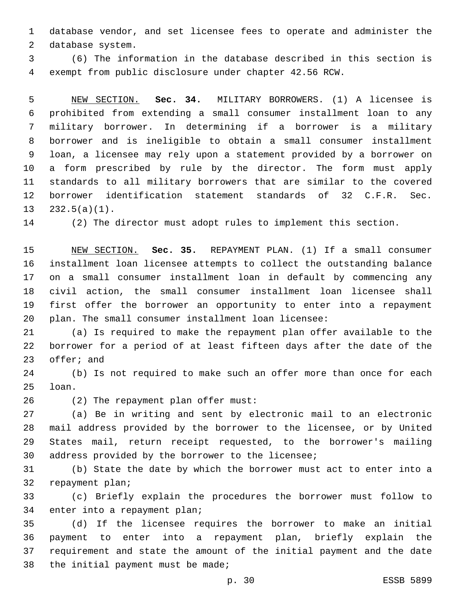database vendor, and set licensee fees to operate and administer the 2 database system.

 (6) The information in the database described in this section is exempt from public disclosure under chapter 42.56 RCW.

 NEW SECTION. **Sec. 34.** MILITARY BORROWERS. (1) A licensee is prohibited from extending a small consumer installment loan to any military borrower. In determining if a borrower is a military borrower and is ineligible to obtain a small consumer installment loan, a licensee may rely upon a statement provided by a borrower on a form prescribed by rule by the director. The form must apply standards to all military borrowers that are similar to the covered borrower identification statement standards of 32 C.F.R. Sec. 232.5(a)(1).

(2) The director must adopt rules to implement this section.

 NEW SECTION. **Sec. 35.** REPAYMENT PLAN. (1) If a small consumer installment loan licensee attempts to collect the outstanding balance on a small consumer installment loan in default by commencing any civil action, the small consumer installment loan licensee shall first offer the borrower an opportunity to enter into a repayment plan. The small consumer installment loan licensee:

 (a) Is required to make the repayment plan offer available to the borrower for a period of at least fifteen days after the date of the 23 offer; and

 (b) Is not required to make such an offer more than once for each 25 loan.

26 (2) The repayment plan offer must:

 (a) Be in writing and sent by electronic mail to an electronic mail address provided by the borrower to the licensee, or by United States mail, return receipt requested, to the borrower's mailing 30 address provided by the borrower to the licensee;

 (b) State the date by which the borrower must act to enter into a 32 repayment plan;

 (c) Briefly explain the procedures the borrower must follow to 34 enter into a repayment plan;

 (d) If the licensee requires the borrower to make an initial payment to enter into a repayment plan, briefly explain the requirement and state the amount of the initial payment and the date 38 the initial payment must be made;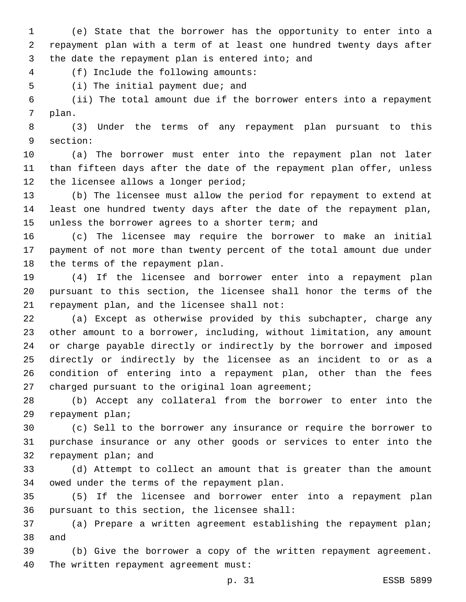(e) State that the borrower has the opportunity to enter into a repayment plan with a term of at least one hundred twenty days after 3 the date the repayment plan is entered into; and

(f) Include the following amounts:4

5 (i) The initial payment due; and

 (ii) The total amount due if the borrower enters into a repayment 7 plan.

 (3) Under the terms of any repayment plan pursuant to this 9 section:

 (a) The borrower must enter into the repayment plan not later than fifteen days after the date of the repayment plan offer, unless 12 the licensee allows a longer period;

 (b) The licensee must allow the period for repayment to extend at least one hundred twenty days after the date of the repayment plan, 15 unless the borrower agrees to a shorter term; and

 (c) The licensee may require the borrower to make an initial payment of not more than twenty percent of the total amount due under 18 the terms of the repayment plan.

 (4) If the licensee and borrower enter into a repayment plan pursuant to this section, the licensee shall honor the terms of the 21 repayment plan, and the licensee shall not:

 (a) Except as otherwise provided by this subchapter, charge any other amount to a borrower, including, without limitation, any amount or charge payable directly or indirectly by the borrower and imposed directly or indirectly by the licensee as an incident to or as a condition of entering into a repayment plan, other than the fees 27 charged pursuant to the original loan agreement;

 (b) Accept any collateral from the borrower to enter into the 29 repayment plan;

 (c) Sell to the borrower any insurance or require the borrower to purchase insurance or any other goods or services to enter into the 32 repayment plan; and

 (d) Attempt to collect an amount that is greater than the amount 34 owed under the terms of the repayment plan.

 (5) If the licensee and borrower enter into a repayment plan 36 pursuant to this section, the licensee shall:

 (a) Prepare a written agreement establishing the repayment plan; 38 and

 (b) Give the borrower a copy of the written repayment agreement. The written repayment agreement must: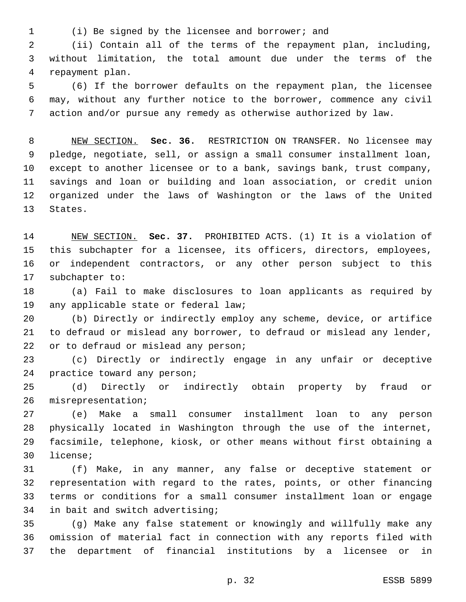(i) Be signed by the licensee and borrower; and

 (ii) Contain all of the terms of the repayment plan, including, without limitation, the total amount due under the terms of the 4 repayment plan.

 (6) If the borrower defaults on the repayment plan, the licensee may, without any further notice to the borrower, commence any civil action and/or pursue any remedy as otherwise authorized by law.

 NEW SECTION. **Sec. 36.** RESTRICTION ON TRANSFER. No licensee may pledge, negotiate, sell, or assign a small consumer installment loan, except to another licensee or to a bank, savings bank, trust company, savings and loan or building and loan association, or credit union organized under the laws of Washington or the laws of the United States.

 NEW SECTION. **Sec. 37.** PROHIBITED ACTS. (1) It is a violation of this subchapter for a licensee, its officers, directors, employees, or independent contractors, or any other person subject to this subchapter to:

 (a) Fail to make disclosures to loan applicants as required by 19 any applicable state or federal law;

 (b) Directly or indirectly employ any scheme, device, or artifice to defraud or mislead any borrower, to defraud or mislead any lender, 22 or to defraud or mislead any person;

 (c) Directly or indirectly engage in any unfair or deceptive 24 practice toward any person;

 (d) Directly or indirectly obtain property by fraud or 26 misrepresentation;

 (e) Make a small consumer installment loan to any person physically located in Washington through the use of the internet, facsimile, telephone, kiosk, or other means without first obtaining a 30 license;

 (f) Make, in any manner, any false or deceptive statement or representation with regard to the rates, points, or other financing terms or conditions for a small consumer installment loan or engage 34 in bait and switch advertising;

 (g) Make any false statement or knowingly and willfully make any omission of material fact in connection with any reports filed with the department of financial institutions by a licensee or in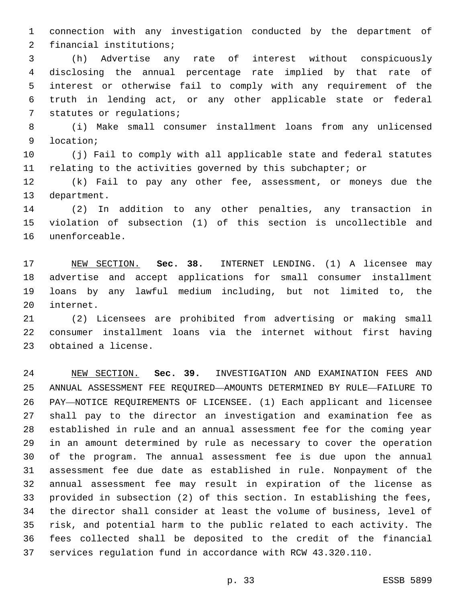connection with any investigation conducted by the department of 2 financial institutions;

 (h) Advertise any rate of interest without conspicuously disclosing the annual percentage rate implied by that rate of interest or otherwise fail to comply with any requirement of the truth in lending act, or any other applicable state or federal 7 statutes or regulations;

 (i) Make small consumer installment loans from any unlicensed 9 location;

 (j) Fail to comply with all applicable state and federal statutes 11 relating to the activities governed by this subchapter; or

 (k) Fail to pay any other fee, assessment, or moneys due the 13 department.

 (2) In addition to any other penalties, any transaction in violation of subsection (1) of this section is uncollectible and 16 unenforceable.

 NEW SECTION. **Sec. 38.** INTERNET LENDING. (1) A licensee may advertise and accept applications for small consumer installment loans by any lawful medium including, but not limited to, the internet.

 (2) Licensees are prohibited from advertising or making small consumer installment loans via the internet without first having 23 obtained a license.

 NEW SECTION. **Sec. 39.** INVESTIGATION AND EXAMINATION FEES AND ANNUAL ASSESSMENT FEE REQUIRED—AMOUNTS DETERMINED BY RULE—FAILURE TO PAY—NOTICE REQUIREMENTS OF LICENSEE. (1) Each applicant and licensee shall pay to the director an investigation and examination fee as established in rule and an annual assessment fee for the coming year in an amount determined by rule as necessary to cover the operation of the program. The annual assessment fee is due upon the annual assessment fee due date as established in rule. Nonpayment of the annual assessment fee may result in expiration of the license as provided in subsection (2) of this section. In establishing the fees, the director shall consider at least the volume of business, level of risk, and potential harm to the public related to each activity. The fees collected shall be deposited to the credit of the financial services regulation fund in accordance with RCW 43.320.110.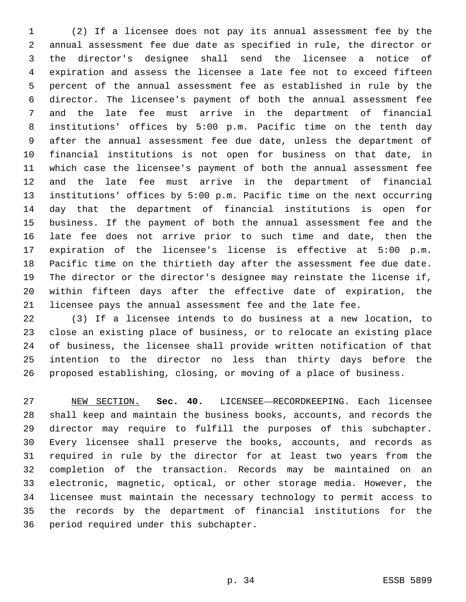(2) If a licensee does not pay its annual assessment fee by the annual assessment fee due date as specified in rule, the director or the director's designee shall send the licensee a notice of expiration and assess the licensee a late fee not to exceed fifteen percent of the annual assessment fee as established in rule by the director. The licensee's payment of both the annual assessment fee and the late fee must arrive in the department of financial institutions' offices by 5:00 p.m. Pacific time on the tenth day after the annual assessment fee due date, unless the department of financial institutions is not open for business on that date, in which case the licensee's payment of both the annual assessment fee and the late fee must arrive in the department of financial institutions' offices by 5:00 p.m. Pacific time on the next occurring day that the department of financial institutions is open for business. If the payment of both the annual assessment fee and the late fee does not arrive prior to such time and date, then the expiration of the licensee's license is effective at 5:00 p.m. Pacific time on the thirtieth day after the assessment fee due date. The director or the director's designee may reinstate the license if, within fifteen days after the effective date of expiration, the licensee pays the annual assessment fee and the late fee.

 (3) If a licensee intends to do business at a new location, to close an existing place of business, or to relocate an existing place of business, the licensee shall provide written notification of that intention to the director no less than thirty days before the proposed establishing, closing, or moving of a place of business.

 NEW SECTION. **Sec. 40.** LICENSEE—RECORDKEEPING. Each licensee shall keep and maintain the business books, accounts, and records the director may require to fulfill the purposes of this subchapter. Every licensee shall preserve the books, accounts, and records as required in rule by the director for at least two years from the completion of the transaction. Records may be maintained on an electronic, magnetic, optical, or other storage media. However, the licensee must maintain the necessary technology to permit access to the records by the department of financial institutions for the period required under this subchapter.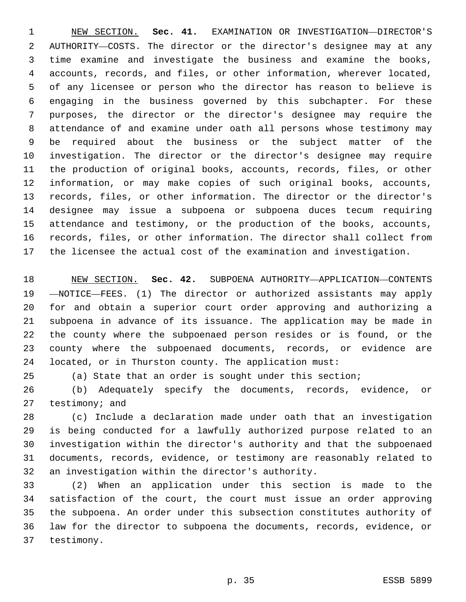NEW SECTION. **Sec. 41.** EXAMINATION OR INVESTIGATION—DIRECTOR'S AUTHORITY—COSTS. The director or the director's designee may at any time examine and investigate the business and examine the books, accounts, records, and files, or other information, wherever located, of any licensee or person who the director has reason to believe is engaging in the business governed by this subchapter. For these purposes, the director or the director's designee may require the attendance of and examine under oath all persons whose testimony may be required about the business or the subject matter of the investigation. The director or the director's designee may require the production of original books, accounts, records, files, or other information, or may make copies of such original books, accounts, records, files, or other information. The director or the director's designee may issue a subpoena or subpoena duces tecum requiring attendance and testimony, or the production of the books, accounts, records, files, or other information. The director shall collect from the licensee the actual cost of the examination and investigation.

 NEW SECTION. **Sec. 42.** SUBPOENA AUTHORITY—APPLICATION—CONTENTS —NOTICE—FEES. (1) The director or authorized assistants may apply for and obtain a superior court order approving and authorizing a subpoena in advance of its issuance. The application may be made in the county where the subpoenaed person resides or is found, or the county where the subpoenaed documents, records, or evidence are located, or in Thurston county. The application must:

(a) State that an order is sought under this section;

 (b) Adequately specify the documents, records, evidence, or testimony; and

 (c) Include a declaration made under oath that an investigation is being conducted for a lawfully authorized purpose related to an investigation within the director's authority and that the subpoenaed documents, records, evidence, or testimony are reasonably related to 32 an investigation within the director's authority.

 (2) When an application under this section is made to the satisfaction of the court, the court must issue an order approving the subpoena. An order under this subsection constitutes authority of law for the director to subpoena the documents, records, evidence, or 37 testimony.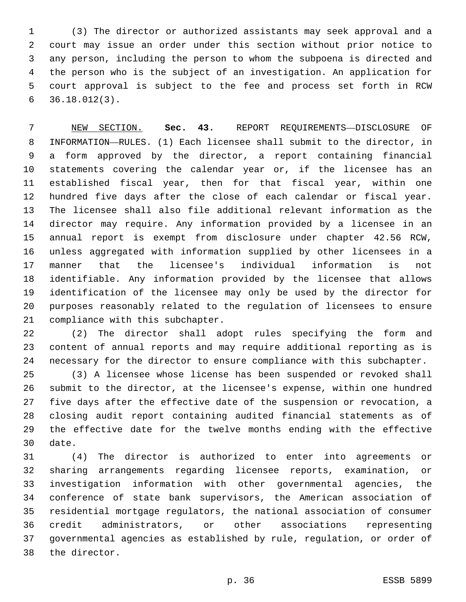(3) The director or authorized assistants may seek approval and a court may issue an order under this section without prior notice to any person, including the person to whom the subpoena is directed and the person who is the subject of an investigation. An application for court approval is subject to the fee and process set forth in RCW  $36.18.012(3)$ .

 NEW SECTION. **Sec. 43.** REPORT REQUIREMENTS—DISCLOSURE OF INFORMATION—RULES. (1) Each licensee shall submit to the director, in a form approved by the director, a report containing financial statements covering the calendar year or, if the licensee has an established fiscal year, then for that fiscal year, within one hundred five days after the close of each calendar or fiscal year. The licensee shall also file additional relevant information as the director may require. Any information provided by a licensee in an annual report is exempt from disclosure under chapter 42.56 RCW, unless aggregated with information supplied by other licensees in a manner that the licensee's individual information is not identifiable. Any information provided by the licensee that allows identification of the licensee may only be used by the director for purposes reasonably related to the regulation of licensees to ensure compliance with this subchapter.

 (2) The director shall adopt rules specifying the form and content of annual reports and may require additional reporting as is necessary for the director to ensure compliance with this subchapter.

 (3) A licensee whose license has been suspended or revoked shall submit to the director, at the licensee's expense, within one hundred five days after the effective date of the suspension or revocation, a closing audit report containing audited financial statements as of the effective date for the twelve months ending with the effective 30 date.

 (4) The director is authorized to enter into agreements or sharing arrangements regarding licensee reports, examination, or investigation information with other governmental agencies, the conference of state bank supervisors, the American association of residential mortgage regulators, the national association of consumer credit administrators, or other associations representing governmental agencies as established by rule, regulation, or order of 38 the director.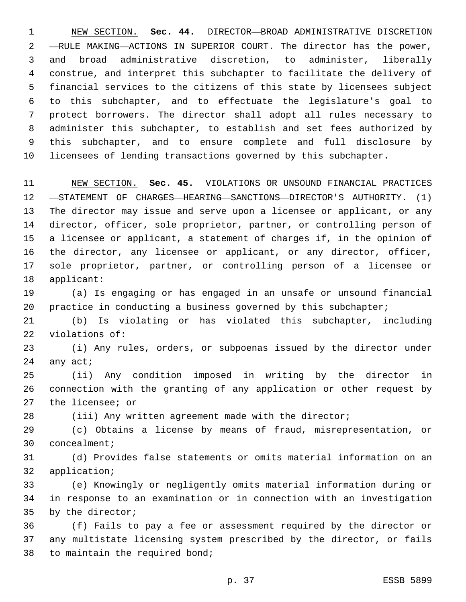NEW SECTION. **Sec. 44.** DIRECTOR—BROAD ADMINISTRATIVE DISCRETION —RULE MAKING—ACTIONS IN SUPERIOR COURT. The director has the power, and broad administrative discretion, to administer, liberally construe, and interpret this subchapter to facilitate the delivery of financial services to the citizens of this state by licensees subject to this subchapter, and to effectuate the legislature's goal to protect borrowers. The director shall adopt all rules necessary to administer this subchapter, to establish and set fees authorized by this subchapter, and to ensure complete and full disclosure by licensees of lending transactions governed by this subchapter.

 NEW SECTION. **Sec. 45.** VIOLATIONS OR UNSOUND FINANCIAL PRACTICES —STATEMENT OF CHARGES—HEARING—SANCTIONS—DIRECTOR'S AUTHORITY. (1) The director may issue and serve upon a licensee or applicant, or any director, officer, sole proprietor, partner, or controlling person of a licensee or applicant, a statement of charges if, in the opinion of the director, any licensee or applicant, or any director, officer, sole proprietor, partner, or controlling person of a licensee or applicant:

 (a) Is engaging or has engaged in an unsafe or unsound financial practice in conducting a business governed by this subchapter;

 (b) Is violating or has violated this subchapter, including 22 violations of:

 (i) Any rules, orders, or subpoenas issued by the director under any act;

 (ii) Any condition imposed in writing by the director in connection with the granting of any application or other request by 27 the licensee; or

(iii) Any written agreement made with the director;

 (c) Obtains a license by means of fraud, misrepresentation, or 30 concealment;

 (d) Provides false statements or omits material information on an 32 application;

 (e) Knowingly or negligently omits material information during or in response to an examination or in connection with an investigation 35 by the director;

 (f) Fails to pay a fee or assessment required by the director or any multistate licensing system prescribed by the director, or fails to maintain the required bond;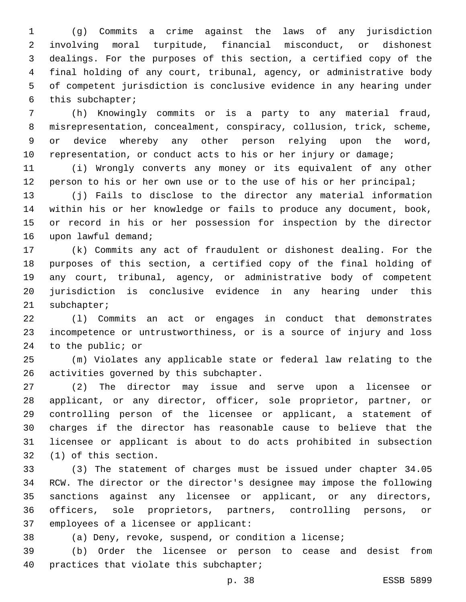(g) Commits a crime against the laws of any jurisdiction involving moral turpitude, financial misconduct, or dishonest dealings. For the purposes of this section, a certified copy of the final holding of any court, tribunal, agency, or administrative body of competent jurisdiction is conclusive evidence in any hearing under 6 this subchapter;

 (h) Knowingly commits or is a party to any material fraud, misrepresentation, concealment, conspiracy, collusion, trick, scheme, or device whereby any other person relying upon the word, 10 representation, or conduct acts to his or her injury or damage;

 (i) Wrongly converts any money or its equivalent of any other person to his or her own use or to the use of his or her principal;

 (j) Fails to disclose to the director any material information within his or her knowledge or fails to produce any document, book, or record in his or her possession for inspection by the director 16 upon lawful demand;

 (k) Commits any act of fraudulent or dishonest dealing. For the purposes of this section, a certified copy of the final holding of any court, tribunal, agency, or administrative body of competent jurisdiction is conclusive evidence in any hearing under this 21 subchapter;

 (l) Commits an act or engages in conduct that demonstrates incompetence or untrustworthiness, or is a source of injury and loss 24 to the public; or

 (m) Violates any applicable state or federal law relating to the 26 activities governed by this subchapter.

 (2) The director may issue and serve upon a licensee or applicant, or any director, officer, sole proprietor, partner, or controlling person of the licensee or applicant, a statement of charges if the director has reasonable cause to believe that the licensee or applicant is about to do acts prohibited in subsection 32 (1) of this section.

 (3) The statement of charges must be issued under chapter 34.05 RCW. The director or the director's designee may impose the following sanctions against any licensee or applicant, or any directors, officers, sole proprietors, partners, controlling persons, or 37 employees of a licensee or applicant:

(a) Deny, revoke, suspend, or condition a license;

 (b) Order the licensee or person to cease and desist from 40 practices that violate this subchapter;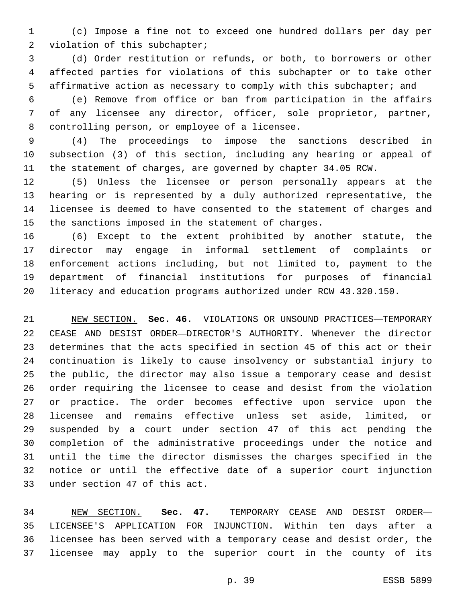(c) Impose a fine not to exceed one hundred dollars per day per 2 violation of this subchapter;

 (d) Order restitution or refunds, or both, to borrowers or other affected parties for violations of this subchapter or to take other affirmative action as necessary to comply with this subchapter; and

 (e) Remove from office or ban from participation in the affairs of any licensee any director, officer, sole proprietor, partner, 8 controlling person, or employee of a licensee.

 (4) The proceedings to impose the sanctions described in subsection (3) of this section, including any hearing or appeal of the statement of charges, are governed by chapter 34.05 RCW.

 (5) Unless the licensee or person personally appears at the hearing or is represented by a duly authorized representative, the licensee is deemed to have consented to the statement of charges and the sanctions imposed in the statement of charges.

 (6) Except to the extent prohibited by another statute, the director may engage in informal settlement of complaints or enforcement actions including, but not limited to, payment to the department of financial institutions for purposes of financial literacy and education programs authorized under RCW 43.320.150.

 NEW SECTION. **Sec. 46.** VIOLATIONS OR UNSOUND PRACTICES—TEMPORARY CEASE AND DESIST ORDER—DIRECTOR'S AUTHORITY. Whenever the director determines that the acts specified in section 45 of this act or their continuation is likely to cause insolvency or substantial injury to the public, the director may also issue a temporary cease and desist order requiring the licensee to cease and desist from the violation or practice. The order becomes effective upon service upon the licensee and remains effective unless set aside, limited, or suspended by a court under section 47 of this act pending the completion of the administrative proceedings under the notice and until the time the director dismisses the charges specified in the notice or until the effective date of a superior court injunction under section 47 of this act.

 NEW SECTION. **Sec. 47.** TEMPORARY CEASE AND DESIST ORDER— LICENSEE'S APPLICATION FOR INJUNCTION. Within ten days after a licensee has been served with a temporary cease and desist order, the licensee may apply to the superior court in the county of its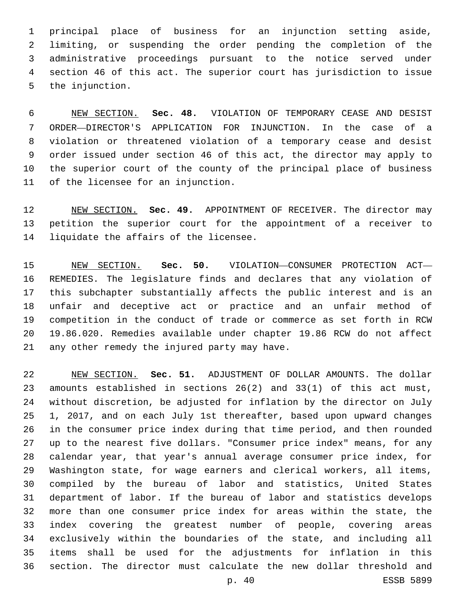principal place of business for an injunction setting aside, limiting, or suspending the order pending the completion of the administrative proceedings pursuant to the notice served under section 46 of this act. The superior court has jurisdiction to issue 5 the injunction.

 NEW SECTION. **Sec. 48.** VIOLATION OF TEMPORARY CEASE AND DESIST ORDER—DIRECTOR'S APPLICATION FOR INJUNCTION. In the case of a violation or threatened violation of a temporary cease and desist order issued under section 46 of this act, the director may apply to the superior court of the county of the principal place of business of the licensee for an injunction.

 NEW SECTION. **Sec. 49.** APPOINTMENT OF RECEIVER. The director may petition the superior court for the appointment of a receiver to liquidate the affairs of the licensee.

 NEW SECTION. **Sec. 50.** VIOLATION—CONSUMER PROTECTION ACT— REMEDIES. The legislature finds and declares that any violation of this subchapter substantially affects the public interest and is an unfair and deceptive act or practice and an unfair method of competition in the conduct of trade or commerce as set forth in RCW 19.86.020. Remedies available under chapter 19.86 RCW do not affect any other remedy the injured party may have.

 NEW SECTION. **Sec. 51.** ADJUSTMENT OF DOLLAR AMOUNTS. The dollar amounts established in sections 26(2) and 33(1) of this act must, without discretion, be adjusted for inflation by the director on July 1, 2017, and on each July 1st thereafter, based upon upward changes in the consumer price index during that time period, and then rounded up to the nearest five dollars. "Consumer price index" means, for any calendar year, that year's annual average consumer price index, for Washington state, for wage earners and clerical workers, all items, compiled by the bureau of labor and statistics, United States department of labor. If the bureau of labor and statistics develops more than one consumer price index for areas within the state, the index covering the greatest number of people, covering areas exclusively within the boundaries of the state, and including all items shall be used for the adjustments for inflation in this section. The director must calculate the new dollar threshold and

p. 40 ESSB 5899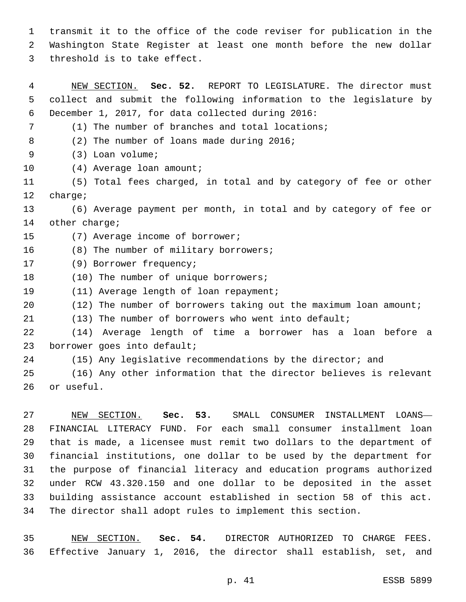transmit it to the office of the code reviser for publication in the Washington State Register at least one month before the new dollar 3 threshold is to take effect.

 NEW SECTION. **Sec. 52.** REPORT TO LEGISLATURE. The director must collect and submit the following information to the legislature by December 1, 2017, for data collected during 2016: (1) The number of branches and total locations; 8 (2) The number of loans made during 2016; (3) Loan volume;9 10 (4) Average loan amount; (5) Total fees charged, in total and by category of fee or other 12 charge; (6) Average payment per month, in total and by category of fee or 14 other charge; 15 (7) Average income of borrower; 16 (8) The number of military borrowers; 17 (9) Borrower frequency; 18 (10) The number of unique borrowers; 19 (11) Average length of loan repayment; (12) The number of borrowers taking out the maximum loan amount; (13) The number of borrowers who went into default; (14) Average length of time a borrower has a loan before a 23 borrower goes into default; (15) Any legislative recommendations by the director; and (16) Any other information that the director believes is relevant 26 or useful.

 NEW SECTION. **Sec. 53.** SMALL CONSUMER INSTALLMENT LOANS— FINANCIAL LITERACY FUND. For each small consumer installment loan that is made, a licensee must remit two dollars to the department of financial institutions, one dollar to be used by the department for the purpose of financial literacy and education programs authorized under RCW 43.320.150 and one dollar to be deposited in the asset building assistance account established in section 58 of this act. The director shall adopt rules to implement this section.

 NEW SECTION. **Sec. 54.** DIRECTOR AUTHORIZED TO CHARGE FEES. Effective January 1, 2016, the director shall establish, set, and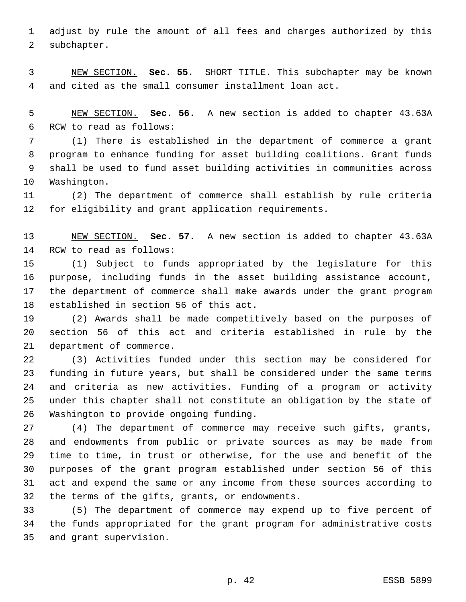adjust by rule the amount of all fees and charges authorized by this 2 subchapter.

 NEW SECTION. **Sec. 55.** SHORT TITLE. This subchapter may be known and cited as the small consumer installment loan act.

 NEW SECTION. **Sec. 56.** A new section is added to chapter 43.63A 6 RCW to read as follows:

 (1) There is established in the department of commerce a grant program to enhance funding for asset building coalitions. Grant funds shall be used to fund asset building activities in communities across 10 Washington.

 (2) The department of commerce shall establish by rule criteria for eligibility and grant application requirements.

 NEW SECTION. **Sec. 57.** A new section is added to chapter 43.63A 14 RCW to read as follows:

 (1) Subject to funds appropriated by the legislature for this purpose, including funds in the asset building assistance account, the department of commerce shall make awards under the grant program 18 established in section 56 of this act.

 (2) Awards shall be made competitively based on the purposes of section 56 of this act and criteria established in rule by the 21 department of commerce.

 (3) Activities funded under this section may be considered for funding in future years, but shall be considered under the same terms and criteria as new activities. Funding of a program or activity under this chapter shall not constitute an obligation by the state of 26 Washington to provide ongoing funding.

 (4) The department of commerce may receive such gifts, grants, and endowments from public or private sources as may be made from time to time, in trust or otherwise, for the use and benefit of the purposes of the grant program established under section 56 of this act and expend the same or any income from these sources according to 32 the terms of the gifts, grants, or endowments.

 (5) The department of commerce may expend up to five percent of the funds appropriated for the grant program for administrative costs 35 and grant supervision.